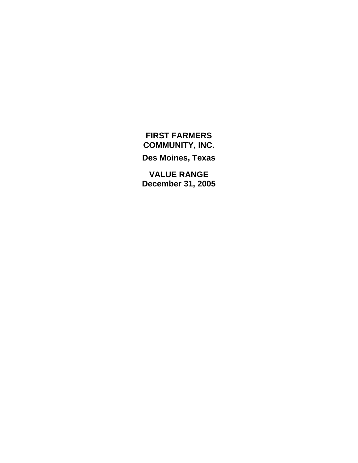### **FIRST FARMERS COMMUNITY, INC.**

**Des Moines, Texas** 

**VALUE RANGE December 31, 2005**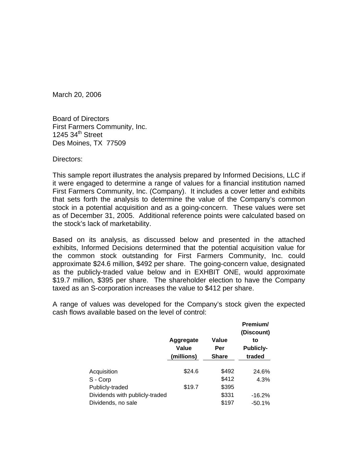March 20, 2006

Board of Directors First Farmers Community, Inc. 1245  $34<sup>th</sup>$  Street Des Moines, TX 77509

Directors:

This sample report illustrates the analysis prepared by Informed Decisions, LLC if it were engaged to determine a range of values for a financial institution named First Farmers Community, Inc. (Company). It includes a cover letter and exhibits that sets forth the analysis to determine the value of the Company's common stock in a potential acquisition and as a going-concern. These values were set as of December 31, 2005. Additional reference points were calculated based on the stock's lack of marketability.

Based on its analysis, as discussed below and presented in the attached exhibits, Informed Decisions determined that the potential acquisition value for the common stock outstanding for First Farmers Community, Inc. could approximate \$24.6 million, \$492 per share. The going-concern value, designated as the publicly-traded value below and in EXHBIT ONE, would approximate \$19.7 million, \$395 per share. The shareholder election to have the Company taxed as an S-corporation increases the value to \$412 per share.

A range of values was developed for the Company's stock given the expected cash flows available based on the level of control:

|                                |                                  |                              | Premium/<br>(Discount)           |
|--------------------------------|----------------------------------|------------------------------|----------------------------------|
|                                | Aggregate<br>Value<br>(millions) | Value<br>Per<br><b>Share</b> | to<br><b>Publicly-</b><br>traded |
| Acquisition                    | \$24.6                           | \$492                        | 24.6%                            |
| S - Corp                       |                                  | \$412                        | 4.3%                             |
| Publicly-traded                | \$19.7                           | \$395                        |                                  |
| Dividends with publicly-traded |                                  | \$331                        | $-16.2%$                         |
| Dividends, no sale             |                                  | \$197                        | $-50.1%$                         |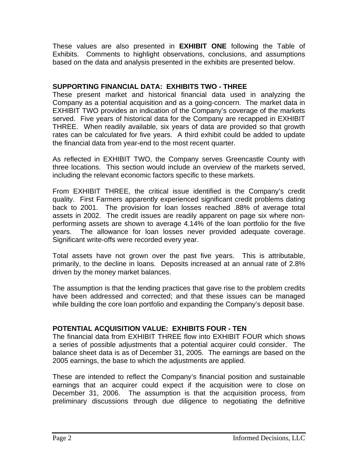These values are also presented in **EXHIBIT ONE** following the Table of Exhibits. Comments to highlight observations, conclusions, and assumptions based on the data and analysis presented in the exhibits are presented below.

### **SUPPORTING FINANCIAL DATA: EXHIBITS TWO - THREE**

These present market and historical financial data used in analyzing the Company as a potential acquisition and as a going-concern. The market data in EXHIBIT TWO provides an indication of the Company's coverage of the markets served. Five years of historical data for the Company are recapped in EXHIBIT THREE. When readily available, six years of data are provided so that growth rates can be calculated for five years. A third exhibit could be added to update the financial data from year-end to the most recent quarter.

As reflected in EXHIBIT TWO, the Company serves Greencastle County with three locations. This section would include an overview of the markets served, including the relevant economic factors specific to these markets.

From EXHIBIT THREE, the critical issue identified is the Company's credit quality. First Farmers apparently experienced significant credit problems dating back to 2001. The provision for loan losses reached .88% of average total assets in 2002. The credit issues are readily apparent on page six where nonperforming assets are shown to average 4.14% of the loan portfolio for the five years. The allowance for loan losses never provided adequate coverage. Significant write-offs were recorded every year.

Total assets have not grown over the past five years. This is attributable, primarily, to the decline in loans. Deposits increased at an annual rate of 2.8% driven by the money market balances.

The assumption is that the lending practices that gave rise to the problem credits have been addressed and corrected; and that these issues can be managed while building the core loan portfolio and expanding the Company's deposit base.

### **POTENTIAL ACQUISITION VALUE: EXHIBITS FOUR - TEN**

The financial data from EXHIBIT THREE flow into EXHIBIT FOUR which shows a series of possible adjustments that a potential acquirer could consider. The balance sheet data is as of December 31, 2005. The earnings are based on the 2005 earnings, the base to which the adjustments are applied.

These are intended to reflect the Company's financial position and sustainable earnings that an acquirer could expect if the acquisition were to close on December 31, 2006. The assumption is that the acquisition process, from preliminary discussions through due diligence to negotiating the definitive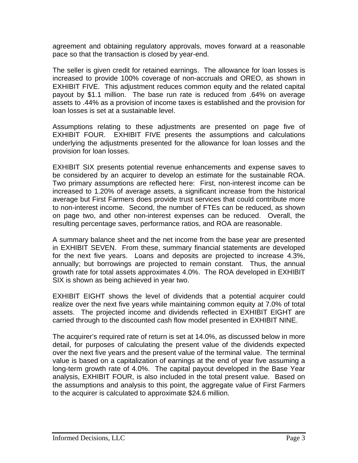agreement and obtaining regulatory approvals, moves forward at a reasonable pace so that the transaction is closed by year-end.

The seller is given credit for retained earnings. The allowance for loan losses is increased to provide 100% coverage of non-accruals and OREO, as shown in EXHIBIT FIVE. This adjustment reduces common equity and the related capital payout by \$1.1 million. The base run rate is reduced from .64% on average assets to .44% as a provision of income taxes is established and the provision for loan losses is set at a sustainable level.

Assumptions relating to these adjustments are presented on page five of EXHIBIT FOUR. EXHIBIT FIVE presents the assumptions and calculations underlying the adjustments presented for the allowance for loan losses and the provision for loan losses.

EXHIBIT SIX presents potential revenue enhancements and expense saves to be considered by an acquirer to develop an estimate for the sustainable ROA. Two primary assumptions are reflected here: First, non-interest income can be increased to 1.20% of average assets, a significant increase from the historical average but First Farmers does provide trust services that could contribute more to non-interest income. Second, the number of FTEs can be reduced, as shown on page two, and other non-interest expenses can be reduced. Overall, the resulting percentage saves, performance ratios, and ROA are reasonable.

A summary balance sheet and the net income from the base year are presented in EXHIBIT SEVEN. From these, summary financial statements are developed for the next five years. Loans and deposits are projected to increase 4.3%, annually; but borrowings are projected to remain constant. Thus, the annual growth rate for total assets approximates 4.0%. The ROA developed in EXHIBIT SIX is shown as being achieved in year two.

EXHIBIT EIGHT shows the level of dividends that a potential acquirer could realize over the next five years while maintaining common equity at 7.0% of total assets. The projected income and dividends reflected in EXHIBIT EIGHT are carried through to the discounted cash flow model presented in EXHIBIT NINE.

The acquirer's required rate of return is set at 14.0%, as discussed below in more detail, for purposes of calculating the present value of the dividends expected over the next five years and the present value of the terminal value. The terminal value is based on a capitalization of earnings at the end of year five assuming a long-term growth rate of 4.0%. The capital payout developed in the Base Year analysis, EXHIBIT FOUR, is also included in the total present value. Based on the assumptions and analysis to this point, the aggregate value of First Farmers to the acquirer is calculated to approximate \$24.6 million.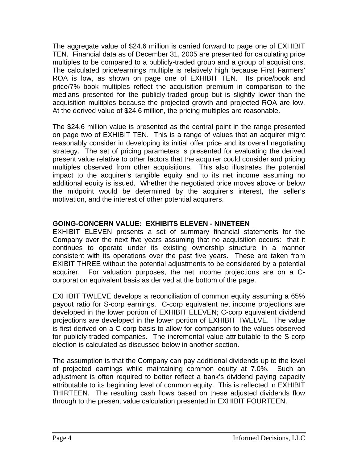The aggregate value of \$24.6 million is carried forward to page one of EXHIBIT TEN. Financial data as of December 31, 2005 are presented for calculating price multiples to be compared to a publicly-traded group and a group of acquisitions. The calculated price/earnings multiple is relatively high because First Farmers' ROA is low, as shown on page one of EXHIBIT TEN. Its price/book and price/7% book multiples reflect the acquisition premium in comparison to the medians presented for the publicly-traded group but is slightly lower than the acquisition multiples because the projected growth and projected ROA are low. At the derived value of \$24.6 million, the pricing multiples are reasonable.

The \$24.6 million value is presented as the central point in the range presented on page two of EXHIBIT TEN. This is a range of values that an acquirer might reasonably consider in developing its initial offer price and its overall negotiating strategy. The set of pricing parameters is presented for evaluating the derived present value relative to other factors that the acquirer could consider and pricing multiples observed from other acquisitions. This also illustrates the potential impact to the acquirer's tangible equity and to its net income assuming no additional equity is issued. Whether the negotiated price moves above or below the midpoint would be determined by the acquirer's interest, the seller's motivation, and the interest of other potential acquirers.

### **GOING-CONCERN VALUE: EXHIBITS ELEVEN - NINETEEN**

EXHIBIT ELEVEN presents a set of summary financial statements for the Company over the next five years assuming that no acquisition occurs: that it continues to operate under its existing ownership structure in a manner consistent with its operations over the past five years. These are taken from EXIBIT THREE without the potential adjustments to be considered by a potential acquirer. For valuation purposes, the net income projections are on a Ccorporation equivalent basis as derived at the bottom of the page.

EXHIBIT TWLEVE develops a reconciliation of common equity assuming a 65% payout ratio for S-corp earnings. C-corp equivalent net income projections are developed in the lower portion of EXHIBIT ELEVEN; C-corp equivalent dividend projections are developed in the lower portion of EXHIBIT TWELVE. The value is first derived on a C-corp basis to allow for comparison to the values observed for publicly-traded companies. The incremental value attributable to the S-corp election is calculated as discussed below in another section.

The assumption is that the Company can pay additional dividends up to the level of projected earnings while maintaining common equity at 7.0%. Such an adjustment is often required to better reflect a bank's dividend paying capacity attributable to its beginning level of common equity. This is reflected in EXHIBIT THIRTEEN. The resulting cash flows based on these adjusted dividends flow through to the present value calculation presented in EXHIBIT FOURTEEN.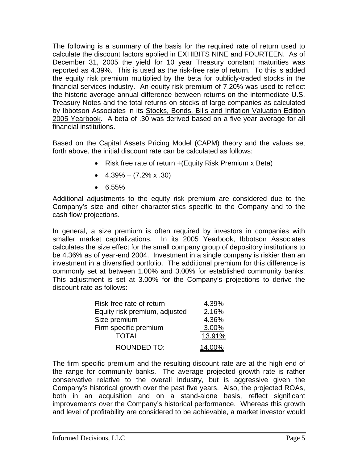The following is a summary of the basis for the required rate of return used to calculate the discount factors applied in EXHIBITS NINE and FOURTEEN. As of December 31, 2005 the yield for 10 year Treasury constant maturities was reported as 4.39%. This is used as the risk-free rate of return. To this is added the equity risk premium multiplied by the beta for publicly-traded stocks in the financial services industry. An equity risk premium of 7.20% was used to reflect the historic average annual difference between returns on the intermediate U.S. Treasury Notes and the total returns on stocks of large companies as calculated by Ibbotson Associates in its Stocks, Bonds, Bills and Inflation Valuation Edition 2005 Yearbook. A beta of .30 was derived based on a five year average for all financial institutions.

Based on the Capital Assets Pricing Model (CAPM) theory and the values set forth above, the initial discount rate can be calculated as follows:

- Risk free rate of return + (Equity Risk Premium x Beta)
- $\bullet$  4.39% + (7.2% x .30)
- $6.55\%$

Additional adjustments to the equity risk premium are considered due to the Company's size and other characteristics specific to the Company and to the cash flow projections.

In general, a size premium is often required by investors in companies with smaller market capitalizations. In its 2005 Yearbook, Ibbotson Associates calculates the size effect for the small company group of depository institutions to be 4.36% as of year-end 2004. Investment in a single company is riskier than an investment in a diversified portfolio. The additional premium for this difference is commonly set at between 1.00% and 3.00% for established community banks. This adjustment is set at 3.00% for the Company's projections to derive the discount rate as follows:

| Risk-free rate of return      | 4.39%  |
|-------------------------------|--------|
| Equity risk premium, adjusted | 2.16%  |
| Size premium                  | 4.36%  |
| Firm specific premium         | 3.00%  |
| <b>TOTAL</b>                  | 13.91% |
| <b>ROUNDED TO:</b>            | 14.00% |

The firm specific premium and the resulting discount rate are at the high end of the range for community banks. The average projected growth rate is rather conservative relative to the overall industry, but is aggressive given the Company's historical growth over the past five years. Also, the projected ROAs, both in an acquisition and on a stand-alone basis, reflect significant improvements over the Company's historical performance. Whereas this growth and level of profitability are considered to be achievable, a market investor would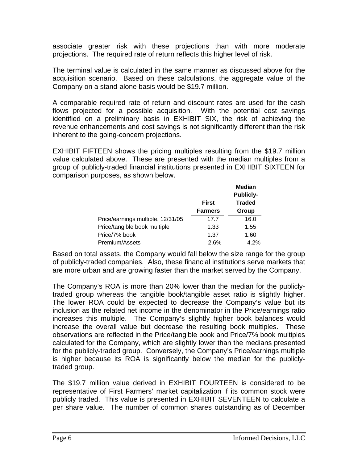associate greater risk with these projections than with more moderate projections. The required rate of return reflects this higher level of risk.

The terminal value is calculated in the same manner as discussed above for the acquisition scenario. Based on these calculations, the aggregate value of the Company on a stand-alone basis would be \$19.7 million.

A comparable required rate of return and discount rates are used for the cash flows projected for a possible acquisition. With the potential cost savings identified on a preliminary basis in EXHIBIT SIX, the risk of achieving the revenue enhancements and cost savings is not significantly different than the risk inherent to the going-concern projections.

EXHIBIT FIFTEEN shows the pricing multiples resulting from the \$19.7 million value calculated above. These are presented with the median multiples from a group of publicly-traded financial institutions presented in EXHIBIT SIXTEEN for comparison purposes, as shown below.

|                                   |                | <b>Median</b>                     |
|-----------------------------------|----------------|-----------------------------------|
|                                   | <b>First</b>   | <b>Publicly-</b><br><b>Traded</b> |
|                                   | <b>Farmers</b> | Group                             |
| Price/earnings multiple, 12/31/05 | 17.7           | 16.0                              |
| Price/tangible book multiple      | 1.33           | 1.55                              |
| Price/7% book                     | 1.37           | 1.60                              |
| Premium/Assets                    | 2.6%           | 4.2%                              |

Based on total assets, the Company would fall below the size range for the group of publicly-traded companies. Also, these financial institutions serve markets that are more urban and are growing faster than the market served by the Company.

The Company's ROA is more than 20% lower than the median for the publiclytraded group whereas the tangible book/tangible asset ratio is slightly higher. The lower ROA could be expected to decrease the Company's value but its inclusion as the related net income in the denominator in the Price/earnings ratio increases this multiple. The Company's slightly higher book balances would increase the overall value but decrease the resulting book multiples. These observations are reflected in the Price/tangible book and Price/7% book multiples calculated for the Company, which are slightly lower than the medians presented for the publicly-traded group. Conversely, the Company's Price/earnings multiple is higher because its ROA is significantly below the median for the publiclytraded group.

The \$19.7 million value derived in EXHIBIT FOURTEEN is considered to be representative of First Farmers' market capitalization if its common stock were publicly traded. This value is presented in EXHIBIT SEVENTEEN to calculate a per share value. The number of common shares outstanding as of December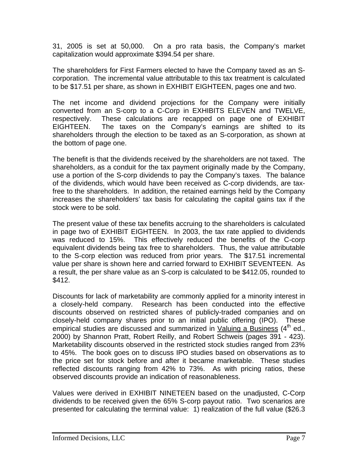31, 2005 is set at 50,000. On a pro rata basis, the Company's market capitalization would approximate \$394.54 per share.

The shareholders for First Farmers elected to have the Company taxed as an Scorporation. The incremental value attributable to this tax treatment is calculated to be \$17.51 per share, as shown in EXHIBIT EIGHTEEN, pages one and two.

The net income and dividend projections for the Company were initially converted from an S-corp to a C-Corp in EXHIBITS ELEVEN and TWELVE, respectively. These calculations are recapped on page one of EXHIBIT EIGHTEEN. The taxes on the Company's earnings are shifted to its shareholders through the election to be taxed as an S-corporation, as shown at the bottom of page one.

The benefit is that the dividends received by the shareholders are not taxed. The shareholders, as a conduit for the tax payment originally made by the Company, use a portion of the S-corp dividends to pay the Company's taxes. The balance of the dividends, which would have been received as C-corp dividends, are taxfree to the shareholders. In addition, the retained earnings held by the Company increases the shareholders' tax basis for calculating the capital gains tax if the stock were to be sold.

The present value of these tax benefits accruing to the shareholders is calculated in page two of EXHIBIT EIGHTEEN. In 2003, the tax rate applied to dividends was reduced to 15%. This effectively reduced the benefits of the C-corp equivalent dividends being tax free to shareholders. Thus, the value attributable to the S-corp election was reduced from prior years. The \$17.51 incremental value per share is shown here and carried forward to EXHIBIT SEVENTEEN. As a result, the per share value as an S-corp is calculated to be \$412.05, rounded to \$412.

Discounts for lack of marketability are commonly applied for a minority interest in a closely-held company. Research has been conducted into the effective discounts observed on restricted shares of publicly-traded companies and on closely-held company shares prior to an initial public offering (IPO). These empirical studies are discussed and summarized in Valuing a Business  $(4<sup>th</sup>$  ed., 2000) by Shannon Pratt, Robert Reilly, and Robert Schweis (pages 391 - 423). Marketability discounts observed in the restricted stock studies ranged from 23% to 45%. The book goes on to discuss IPO studies based on observations as to the price set for stock before and after it became marketable. These studies reflected discounts ranging from 42% to 73%. As with pricing ratios, these observed discounts provide an indication of reasonableness.

Values were derived in EXHIBIT NINETEEN based on the unadjusted, C-Corp dividends to be received given the 65% S-corp payout ratio. Two scenarios are presented for calculating the terminal value: 1) realization of the full value (\$26.3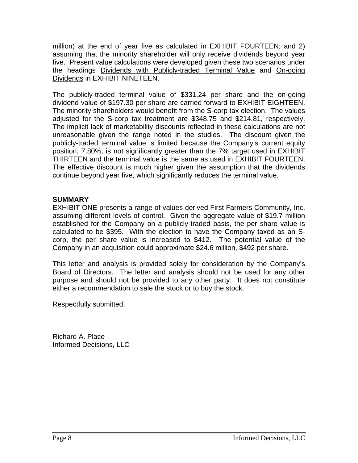million) at the end of year five as calculated in EXHIBIT FOURTEEN; and 2) assuming that the minority shareholder will only receive dividends beyond year five. Present value calculations were developed given these two scenarios under the headings Dividends with Publicly-traded Terminal Value and On-going Dividends in EXHIBIT NINETEEN.

The publicly-traded terminal value of \$331.24 per share and the on-going dividend value of \$197.30 per share are carried forward to EXHIBIT EIGHTEEN. The minority shareholders would benefit from the S-corp tax election. The values adjusted for the S-corp tax treatment are \$348.75 and \$214.81, respectively. The implicit lack of marketability discounts reflected in these calculations are not unreasonable given the range noted in the studies. The discount given the publicly-traded terminal value is limited because the Company's current equity position, 7.80%, is not significantly greater than the 7% target used in EXHIBIT THIRTEEN and the terminal value is the same as used in EXHIBIT FOURTEEN. The effective discount is much higher given the assumption that the dividends continue beyond year five, which significantly reduces the terminal value.

### **SUMMARY**

EXHIBIT ONE presents a range of values derived First Farmers Community, Inc. assuming different levels of control. Given the aggregate value of \$19.7 million established for the Company on a publicly-traded basis, the per share value is calculated to be \$395. With the election to have the Company taxed as an Scorp, the per share value is increased to \$412. The potential value of the Company in an acquisition could approximate \$24.6 million, \$492 per share.

This letter and analysis is provided solely for consideration by the Company's Board of Directors. The letter and analysis should not be used for any other purpose and should not be provided to any other party. It does not constitute either a recommendation to sale the stock or to buy the stock.

Respectfully submitted,

Richard A. Place Informed Decisions, LLC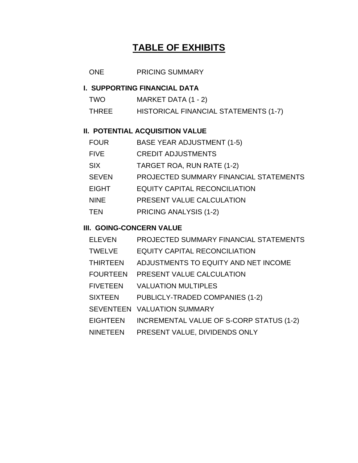## **TABLE OF EXHIBITS**

### ONE PRICING SUMMARY

### **I. SUPPORTING FINANCIAL DATA**

| <b>TWO</b>   | MARKET DATA (1 - 2)                   |
|--------------|---------------------------------------|
| <b>THREE</b> | HISTORICAL FINANCIAL STATEMENTS (1-7) |

### **II. POTENTIAL ACQUISITION VALUE**

| FOUR         | <b>BASE YEAR ADJUSTMENT (1-5)</b>      |
|--------------|----------------------------------------|
| FIVE         | <b>CREDIT ADJUSTMENTS</b>              |
| SIX          | TARGET ROA, RUN RATE (1-2)             |
| <b>SEVEN</b> | PROJECTED SUMMARY FINANCIAL STATEMENTS |
| <b>EIGHT</b> | <b>EQUITY CAPITAL RECONCILIATION</b>   |
| <b>NINE</b>  | PRESENT VALUE CALCULATION              |
| TEN          | PRICING ANALYSIS (1-2)                 |

### **III. GOING-CONCERN VALUE**

| <b>ELEVEN</b> | PROJECTED SUMMARY FINANCIAL STATEMENTS |  |  |
|---------------|----------------------------------------|--|--|
|---------------|----------------------------------------|--|--|

- TWELVE EQUITY CAPITAL RECONCILIATION
- THIRTEEN ADJUSTMENTS TO EQUITY AND NET INCOME
- FOURTEEN PRESENT VALUE CALCULATION
- FIVETEEN VALUATION MULTIPLES
- SIXTEEN PUBLICLY-TRADED COMPANIES (1-2)
- SEVENTEEN VALUATION SUMMARY
- EIGHTEEN INCREMENTAL VALUE OF S-CORP STATUS (1-2)
- NINETEEN PRESENT VALUE, DIVIDENDS ONLY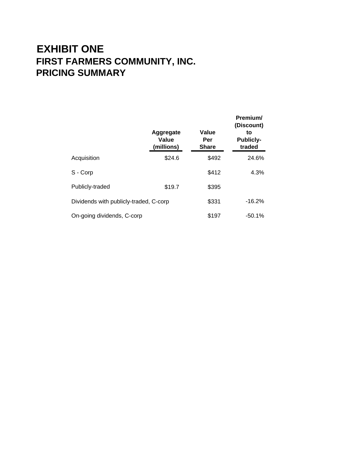# **EXHIBIT ONE FIRST FARMERS COMMUNITY, INC. PRICING SUMMARY**

|                                        | Aggregate<br>Value<br>(millions) | Value<br>Per<br><b>Share</b> | Premium/<br>(Discount)<br>to<br><b>Publicly-</b><br>traded |
|----------------------------------------|----------------------------------|------------------------------|------------------------------------------------------------|
| Acquisition                            | \$24.6                           | \$492                        | 24.6%                                                      |
| S - Corp                               |                                  | \$412                        | 4.3%                                                       |
| Publicly-traded                        | \$19.7                           | \$395                        |                                                            |
| Dividends with publicly-traded, C-corp | \$331                            | $-16.2%$                     |                                                            |
| On-going dividends, C-corp             |                                  | \$197                        | $-50.1%$                                                   |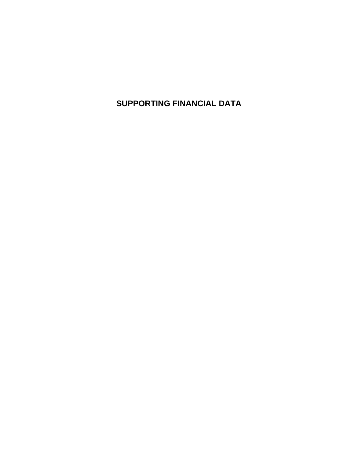**SUPPORTING FINANCIAL DATA**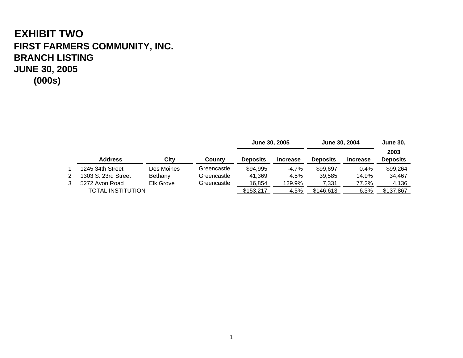# **EXHIBIT TWO FIRST FARMERS COMMUNITY, INC. BRANCH LISTINGJUNE 30, 2005 (000s)**

|                          |            |             | June 30, 2005   |                 | June 30, 2004   | <b>June 30,</b> |                         |
|--------------------------|------------|-------------|-----------------|-----------------|-----------------|-----------------|-------------------------|
| <b>Address</b>           | Citv       | County      | <b>Deposits</b> | <b>Increase</b> | <b>Deposits</b> | <b>Increase</b> | 2003<br><b>Deposits</b> |
| 1245 34th Street         | Des Moines | Greencastle | \$94,995        | $-4.7\%$        | \$99,697        | 0.4%            | \$99,264                |
| 1303 S. 23rd Street      | Bethany    | Greencastle | 41.369          | 4.5%            | 39.585          | 14.9%           | 34,467                  |
| 5272 Avon Road           | Elk Grove  | Greencastle | 16,854          | 129.9%          | 7,331           | 77.2%           | 4,136                   |
| <b>TOTAL INSTITUTION</b> |            |             | \$153,217       | 4.5%            | \$146,613       | 6.3%            | \$137,867               |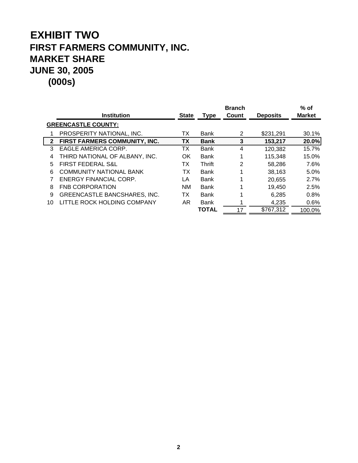# **EXHIBIT TWO FIRST FARMERS COMMUNITY, INC. MARKET SHARE JUNE 30, 2005 (000s)**

|                            |                                     |              |              | <b>Branch</b> |                 | $%$ of        |
|----------------------------|-------------------------------------|--------------|--------------|---------------|-----------------|---------------|
|                            | <b>Institution</b>                  | <b>State</b> | <b>Type</b>  | Count         | <b>Deposits</b> | <b>Market</b> |
| <b>GREENCASTLE COUNTY:</b> |                                     |              |              |               |                 |               |
|                            | PROSPERITY NATIONAL, INC.           | ТX           | Bank         |               | \$231,291       | 30.1%         |
|                            | 2 FIRST FARMERS COMMUNITY, INC.     | <b>TX</b>    | <b>Bank</b>  | 3.            | 153,217         | 20.0%         |
| 3                          | EAGLE AMERICA CORP.                 | ТΧ           | <b>Bank</b>  | 4             | 120,382         | 15.7%         |
| 4                          | THIRD NATIONAL OF ALBANY, INC.      | OK           | Bank         |               | 115,348         | 15.0%         |
| 5                          | <b>FIRST FEDERAL S&amp;L</b>        | ТX           | Thrift       | 2             | 58,286          | 7.6%          |
| 6                          | <b>COMMUNITY NATIONAL BANK</b>      | ТX           | Bank         |               | 38,163          | 5.0%          |
|                            | ENERGY FINANCIAL CORP.              | LA           | Bank         |               | 20,655          | 2.7%          |
| 8                          | <b>FNB CORPORATION</b>              | <b>NM</b>    | Bank         |               | 19,450          | 2.5%          |
| 9                          | <b>GREENCASTLE BANCSHARES, INC.</b> | ТX           | Bank         |               | 6,285           | 0.8%          |
| 10                         | LITTLE ROCK HOLDING COMPANY         | AR.          | Bank         |               | 4,235           | 0.6%          |
|                            |                                     |              | <b>TOTAL</b> |               | \$767,312       | 100.0%        |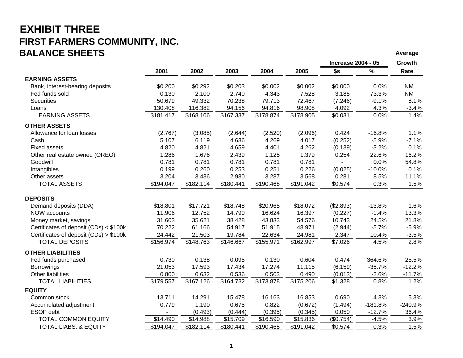### **EXHIBIT THREE FIRST FARMERS COMMUNITY, INC. BALANCE SHEETSAverage of the contract of the contract of the contract of the contract of the contract of the contract of the contract of the contract of the contract of the contract of the contract of the contract of the contract of th**

|                                        |           |           |                       |           |           | <b>Increase 2004 - 05</b> |           | Growth    |
|----------------------------------------|-----------|-----------|-----------------------|-----------|-----------|---------------------------|-----------|-----------|
|                                        | 2001      | 2002      | 2003                  | 2004      | 2005      | \$s                       | $\%$      | Rate      |
| <b>EARNING ASSETS</b>                  |           |           |                       |           |           |                           |           |           |
| Bank, interest-bearing deposits        | \$0.200   | \$0.292   | \$0.203               | \$0.002   | \$0.002   | \$0.000                   | 0.0%      | <b>NM</b> |
| Fed funds sold                         | 0.130     | 2.100     | 2.740                 | 4.343     | 7.528     | 3.185                     | 73.3%     | <b>NM</b> |
| <b>Securities</b>                      | 50.679    | 49.332    | 70.238                | 79.713    | 72.467    | (7.246)                   | $-9.1%$   | 8.1%      |
| Loans                                  | 130.408   | 116.382   | 94.156                | 94.816    | 98.908    | 4.092                     | 4.3%      | $-3.4%$   |
| <b>EARNING ASSETS</b>                  | \$181.417 | \$168.106 | $\overline{$}167.337$ | \$178.874 | \$178.905 | \$0.031                   | 0.0%      | 1.4%      |
| <b>OTHER ASSETS</b>                    |           |           |                       |           |           |                           |           |           |
| Allowance for loan losses              | (2.767)   | (3.085)   | (2.644)               | (2.520)   | (2.096)   | 0.424                     | $-16.8%$  | 1.1%      |
| Cash                                   | 5.107     | 6.119     | 4.636                 | 4.269     | 4.017     | (0.252)                   | $-5.9%$   | $-7.1%$   |
| <b>Fixed assets</b>                    | 4.820     | 4.821     | 4.659                 | 4.401     | 4.262     | (0.139)                   | $-3.2%$   | 0.1%      |
| Other real estate owned (OREO)         | 1.286     | 1.676     | 2.439                 | 1.125     | 1.379     | 0.254                     | 22.6%     | 16.2%     |
| Goodwill                               | 0.781     | 0.781     | 0.781                 | 0.781     | 0.781     |                           | 0.0%      | 54.8%     |
| Intangibles                            | 0.199     | 0.260     | 0.253                 | 0.251     | 0.226     | (0.025)                   | $-10.0%$  | 0.1%      |
| Other assets                           | 3.204     | 3.436     | 2.980                 | 3.287     | 3.568     | 0.281                     | 8.5%      | 11.1%     |
| <b>TOTAL ASSETS</b>                    | \$194.047 | \$182.114 | \$180.441             | \$190.468 | \$191.042 | \$0.574                   | 0.3%      | 1.5%      |
| <b>DEPOSITS</b>                        |           |           |                       |           |           |                           |           |           |
| Demand deposits (DDA)                  | \$18.801  | \$17.721  | \$18.748              | \$20.965  | \$18.072  | (\$2.893)                 | $-13.8%$  | 1.6%      |
| <b>NOW accounts</b>                    | 11.906    | 12.752    | 14.790                | 16.624    | 16.397    | (0.227)                   | $-1.4%$   | 13.3%     |
| Money market, savings                  | 31.603    | 35.621    | 38.428                | 43.833    | 54.576    | 10.743                    | 24.5%     | 21.8%     |
| Certificates of deposit (CDs) < \$100k | 70.222    | 61.166    | 54.917                | 51.915    | 48.971    | (2.944)                   | $-5.7%$   | $-5.9%$   |
| Certificates of deposit (CDs) > \$100k | 24.442    | 21.503    | 19.784                | 22.634    | 24.981    | 2.347                     | 10.4%     | $-3.5%$   |
| <b>TOTAL DEPOSITS</b>                  | \$156.974 | \$148.763 | \$146.667             | \$155.971 | \$162.997 | \$7.026                   | 4.5%      | 2.8%      |
| <b>OTHER LIABILITIES</b>               |           |           |                       |           |           |                           |           |           |
| Fed funds purchased                    | 0.730     | 0.138     | 0.095                 | 0.130     | 0.604     | 0.474                     | 364.6%    | 25.5%     |
| Borrowings                             | 21.053    | 17.593    | 17.434                | 17.274    | 11.115    | (6.159)                   | $-35.7%$  | $-12.2%$  |
| Other liabilities                      | 0.800     | 0.632     | 0.536                 | 0.503     | 0.490     | (0.013)                   | $-2.6%$   | $-11.7%$  |
| <b>TOTAL LIABILITIES</b>               | \$179.557 | \$167.126 | \$164.732             | \$173.878 | \$175.206 | \$1.328                   | 0.8%      | 1.2%      |
| <b>EQUITY</b>                          |           |           |                       |           |           |                           |           |           |
| Common stock                           | 13.711    | 14.291    | 15.478                | 16.163    | 16.853    | 0.690                     | 4.3%      | 5.3%      |
| Accumulated adjustment                 | 0.779     | 1.190     | 0.675                 | 0.822     | (0.672)   | (1.494)                   | $-181.8%$ | $-240.9%$ |
| ESOP debt                              |           | (0.493)   | (0.444)               | (0.395)   | (0.345)   | 0.050                     | $-12.7%$  | 36.4%     |
| <b>TOTAL COMMON EQUITY</b>             | \$14.490  | \$14.988  | \$15.709              | \$16.590  | \$15.836  | (\$0.754)                 | $-4.5%$   | 3.9%      |
| <b>TOTAL LIABS. &amp; EQUITY</b>       | \$194.047 | \$182.114 | \$180.441             | \$190.468 | \$191.042 | \$0.574                   | 0.3%      | 1.5%      |

- - - - -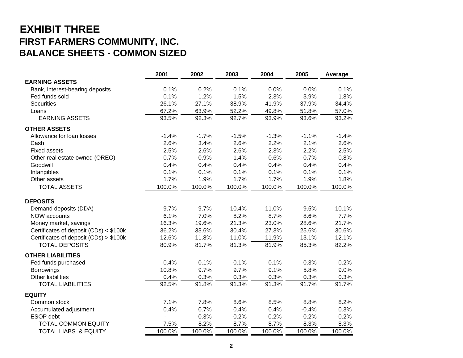## **EXHIBIT THREE FIRST FARMERS COMMUNITY, INC. BALANCE SHEETS - COMMON SIZED**

|                                        | 2001           | 2002    | 2003    | 2004    | 2005    | Average |
|----------------------------------------|----------------|---------|---------|---------|---------|---------|
| <b>EARNING ASSETS</b>                  |                |         |         |         |         |         |
| Bank, interest-bearing deposits        | 0.1%           | 0.2%    | 0.1%    | 0.0%    | 0.0%    | 0.1%    |
| Fed funds sold                         | 0.1%           | 1.2%    | 1.5%    | 2.3%    | 3.9%    | 1.8%    |
| <b>Securities</b>                      | 26.1%          | 27.1%   | 38.9%   | 41.9%   | 37.9%   | 34.4%   |
| Loans                                  | 67.2%          | 63.9%   | 52.2%   | 49.8%   | 51.8%   | 57.0%   |
| <b>EARNING ASSETS</b>                  | 93.5%          | 92.3%   | 92.7%   | 93.9%   | 93.6%   | 93.2%   |
| <b>OTHER ASSETS</b>                    |                |         |         |         |         |         |
| Allowance for loan losses              | $-1.4%$        | $-1.7%$ | $-1.5%$ | $-1.3%$ | $-1.1%$ | $-1.4%$ |
| Cash                                   | 2.6%           | 3.4%    | 2.6%    | 2.2%    | 2.1%    | 2.6%    |
| <b>Fixed assets</b>                    | 2.5%           | 2.6%    | 2.6%    | 2.3%    | 2.2%    | 2.5%    |
| Other real estate owned (OREO)         | 0.7%           | 0.9%    | 1.4%    | 0.6%    | 0.7%    | 0.8%    |
| Goodwill                               | 0.4%           | 0.4%    | 0.4%    | 0.4%    | 0.4%    | 0.4%    |
| Intangibles                            | 0.1%           | 0.1%    | 0.1%    | 0.1%    | 0.1%    | 0.1%    |
| Other assets                           | 1.7%           | 1.9%    | 1.7%    | 1.7%    | 1.9%    | 1.8%    |
| <b>TOTAL ASSETS</b>                    | 100.0%         | 100.0%  | 100.0%  | 100.0%  | 100.0%  | 100.0%  |
| <b>DEPOSITS</b>                        |                |         |         |         |         |         |
| Demand deposits (DDA)                  | 9.7%           | 9.7%    | 10.4%   | 11.0%   | 9.5%    | 10.1%   |
| <b>NOW accounts</b>                    | 6.1%           | 7.0%    | 8.2%    | 8.7%    | 8.6%    | 7.7%    |
| Money market, savings                  | 16.3%          | 19.6%   | 21.3%   | 23.0%   | 28.6%   | 21.7%   |
| Certificates of deposit (CDs) < \$100k | 36.2%          | 33.6%   | 30.4%   | 27.3%   | 25.6%   | 30.6%   |
| Certificates of deposit (CDs) > \$100k | 12.6%          | 11.8%   | 11.0%   | 11.9%   | 13.1%   | 12.1%   |
| <b>TOTAL DEPOSITS</b>                  | 80.9%          | 81.7%   | 81.3%   | 81.9%   | 85.3%   | 82.2%   |
| <b>OTHER LIABILITIES</b>               |                |         |         |         |         |         |
| Fed funds purchased                    | 0.4%           | 0.1%    | 0.1%    | 0.1%    | 0.3%    | 0.2%    |
| <b>Borrowings</b>                      | 10.8%          | 9.7%    | 9.7%    | 9.1%    | 5.8%    | 9.0%    |
| Other liabilities                      | 0.4%           | 0.3%    | 0.3%    | 0.3%    | 0.3%    | 0.3%    |
| <b>TOTAL LIABILITIES</b>               | 92.5%          | 91.8%   | 91.3%   | 91.3%   | 91.7%   | 91.7%   |
| <b>EQUITY</b>                          |                |         |         |         |         |         |
| Common stock                           | 7.1%           | 7.8%    | 8.6%    | 8.5%    | 8.8%    | 8.2%    |
| Accumulated adjustment                 | 0.4%           | 0.7%    | 0.4%    | 0.4%    | $-0.4%$ | 0.3%    |
| ESOP debt                              | $\blacksquare$ | $-0.3%$ | $-0.2%$ | $-0.2%$ | $-0.2%$ | $-0.2%$ |
| <b>TOTAL COMMON EQUITY</b>             | 7.5%           | 8.2%    | 8.7%    | 8.7%    | 8.3%    | 8.3%    |
| <b>TOTAL LIABS. &amp; EQUITY</b>       | 100.0%         | 100.0%  | 100.0%  | 100.0%  | 100.0%  | 100.0%  |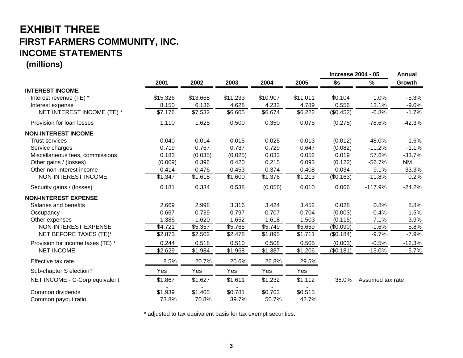# **EXHIBIT THREE FIRST FARMERS COMMUNITY, INC. INCOME STATEMENTS**

**(millions)**

|                                   |          |          |          |          |            | <b>Increase 2004 - 05</b> |                  | <b>Annual</b> |
|-----------------------------------|----------|----------|----------|----------|------------|---------------------------|------------------|---------------|
|                                   | 2001     | 2002     | 2003     | 2004     | 2005       | \$s                       | %                | Growth        |
| <b>INTEREST INCOME</b>            |          |          |          |          |            |                           |                  |               |
| Interest revenue (TE) *           | \$15.326 | \$13.668 | \$11.233 | \$10.907 | \$11.011   | \$0.104                   | 1.0%             | $-5.3%$       |
| Interest expense                  | 8.150    | 6.136    | 4.628    | 4.233    | 4.789      | 0.556                     | 13.1%            | $-9.0%$       |
| NET INTEREST INCOME (TE) *        | \$7.176  | \$7.532  | \$6.605  | \$6.674  | \$6.222    | (\$0.452)                 | $-6.8%$          | $-1.7%$       |
| Provision for loan losses         | 1.110    | 1.625    | 0.500    | 0.350    | 0.075      | (0.275)                   | $-78.6%$         | $-42.3%$      |
| <b>NON-INTEREST INCOME</b>        |          |          |          |          |            |                           |                  |               |
| <b>Trust services</b>             | 0.040    | 0.014    | 0.015    | 0.025    | 0.013      | (0.012)                   | $-48.0%$         | 1.6%          |
| Service charges                   | 0.719    | 0.767    | 0.737    | 0.729    | 0.647      | (0.082)                   | $-11.2%$         | $-1.1%$       |
| Miscellaneous fees, commissions   | 0.183    | (0.035)  | (0.025)  | 0.033    | 0.052      | 0.019                     | 57.6%            | $-33.7%$      |
| Other gains / (losses)            | (0.009)  | 0.396    | 0.420    | 0.215    | 0.093      | (0.122)                   | $-56.7%$         | <b>NM</b>     |
| Other non-interest income         | 0.414    | 0.476    | 0.453    | 0.374    | 0.408      | 0.034                     | 9.1%             | 33.3%         |
| NON-INTEREST INCOME               | \$1.347  | \$1.618  | \$1.600  | \$1.376  | \$1.213    | (\$0.163)                 | $-11.8%$         | 0.2%          |
| Security gains / (losses)         | 0.181    | 0.334    | 0.538    | (0.056)  | 0.010      | 0.066                     | $-117.9%$        | $-24.2%$      |
| <b>NON-INTEREST EXPENSE</b>       |          |          |          |          |            |                           |                  |               |
| Salaries and benefits             | 2.669    | 2.998    | 3.316    | 3.424    | 3.452      | 0.028                     | 0.8%             | 8.8%          |
| Occupancy                         | 0.667    | 0.739    | 0.797    | 0.707    | 0.704      | (0.003)                   | $-0.4%$          | $-1.5%$       |
| Other expenses                    | 1.385    | 1.620    | 1.652    | 1.618    | 1.503      | (0.115)                   | $-7.1%$          | 3.9%          |
| NON-INTEREST EXPENSE              | \$4.721  | \$5.357  | \$5.765  | \$5.749  | \$5.659    | (\$0.090)                 | $-1.6%$          | 5.8%          |
| NET BEFORE TAXES (TE)*            | \$2.873  | \$2.502  | \$2.478  | \$1.895  | \$1.711    | (\$0.184)                 | $-9.7%$          | $-7.9%$       |
| Provision for income taxes (TE) * | 0.244    | 0.518    | 0.510    | 0.508    | 0.505      | (0.003)                   | $-0.5%$          | $-12.3%$      |
| <b>NET INCOME</b>                 | \$2.629  | \$1.984  | \$1.968  | \$1.387  | \$1.206    | (\$0.181)                 | $-13.0%$         | $-5.7%$       |
| Effective tax rate                | 8.5%     | 20.7%    | 20.6%    | 26.8%    | 29.5%      |                           |                  |               |
| Sub-chapter S election?           | Yes      | Yes      | Yes      | Yes      | <u>Yes</u> |                           |                  |               |
| NET INCOME - C-Corp equivalent    | \$1.867  | \$1.627  | \$1.611  | \$1.232  | \$1.112    | 35.0%                     | Assumed tax rate |               |
| Common dividends                  | \$1.939  | \$1.405  | \$0.781  | \$0.703  | \$0.515    |                           |                  |               |
| Common payout ratio               | 73.8%    | 70.8%    | 39.7%    | 50.7%    | 42.7%      |                           |                  |               |

\* adjusted to tax equivalent basis for tax exempt securities.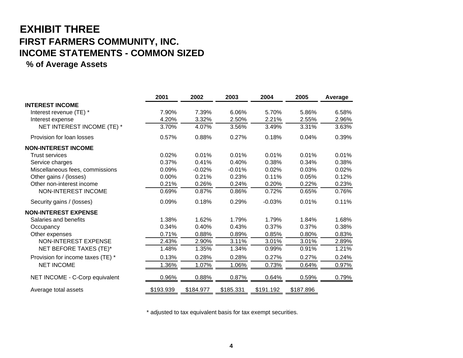# **EXHIBIT THREE FIRST FARMERS COMMUNITY, INC. INCOME STATEMENTS - COMMON SIZED**

### **% of Average Assets**

|                                   | 2001      | 2002      | 2003      | 2004      | 2005      | Average |
|-----------------------------------|-----------|-----------|-----------|-----------|-----------|---------|
| <b>INTEREST INCOME</b>            |           |           |           |           |           |         |
| Interest revenue (TE) *           | 7.90%     | 7.39%     | 6.06%     | 5.70%     | 5.86%     | 6.58%   |
| Interest expense                  | 4.20%     | 3.32%     | 2.50%     | 2.21%     | 2.55%     | 2.96%   |
| NET INTEREST INCOME (TE) *        | 3.70%     | 4.07%     | 3.56%     | 3.49%     | 3.31%     | 3.63%   |
| Provision for loan losses         | 0.57%     | 0.88%     | 0.27%     | 0.18%     | 0.04%     | 0.39%   |
| <b>NON-INTEREST INCOME</b>        |           |           |           |           |           |         |
| <b>Trust services</b>             | 0.02%     | 0.01%     | 0.01%     | 0.01%     | 0.01%     | 0.01%   |
| Service charges                   | 0.37%     | 0.41%     | 0.40%     | 0.38%     | 0.34%     | 0.38%   |
| Miscellaneous fees, commissions   | 0.09%     | $-0.02%$  | $-0.01%$  | 0.02%     | 0.03%     | 0.02%   |
| Other gains / (losses)            | 0.00%     | 0.21%     | 0.23%     | 0.11%     | 0.05%     | 0.12%   |
| Other non-interest income         | 0.21%     | 0.26%     | 0.24%     | 0.20%     | 0.22%     | 0.23%   |
| NON-INTEREST INCOME               | 0.69%     | 0.87%     | 0.86%     | 0.72%     | 0.65%     | 0.76%   |
| Security gains / (losses)         | 0.09%     | 0.18%     | 0.29%     | $-0.03%$  | 0.01%     | 0.11%   |
| <b>NON-INTEREST EXPENSE</b>       |           |           |           |           |           |         |
| Salaries and benefits             | 1.38%     | 1.62%     | 1.79%     | 1.79%     | 1.84%     | 1.68%   |
| Occupancy                         | 0.34%     | 0.40%     | 0.43%     | 0.37%     | 0.37%     | 0.38%   |
| Other expenses                    | 0.71%     | 0.88%     | 0.89%     | 0.85%     | 0.80%     | 0.83%   |
| <b>NON-INTEREST EXPENSE</b>       | 2.43%     | 2.90%     | 3.11%     | 3.01%     | 3.01%     | 2.89%   |
| NET BEFORE TAXES (TE)*            | 1.48%     | 1.35%     | 1.34%     | 0.99%     | 0.91%     | 1.21%   |
| Provision for income taxes (TE) * | 0.13%     | 0.28%     | 0.28%     | 0.27%     | 0.27%     | 0.24%   |
| <b>NET INCOME</b>                 | 1.36%     | 1.07%     | 1.06%     | 0.73%     | 0.64%     | 0.97%   |
| NET INCOME - C-Corp equivalent    | 0.96%     | 0.88%     | 0.87%     | 0.64%     | 0.59%     | 0.79%   |
| Average total assets              | \$193.939 | \$184.977 | \$185.331 | \$191.192 | \$187.896 |         |

\* adjusted to tax equivalent basis for tax exempt securities.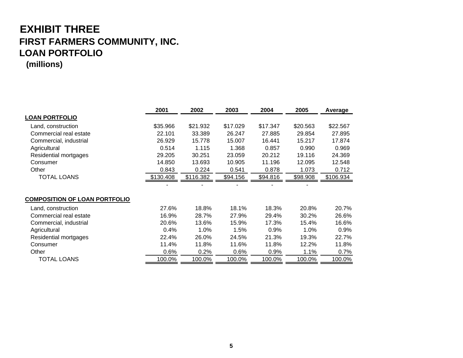## **EXHIBIT THREE FIRST FARMERS COMMUNITY, INC. LOAN PORTFOLIO (millions)**

| <b>LOAN PORTFOLIO</b><br>\$35.966<br>\$21.932<br>\$17.029<br>\$17.347<br>\$20.563<br>Land, construction<br>Commercial real estate<br>22.101<br>33.389<br>26.247<br>27.885<br>29.854<br>Commercial, industrial<br>26.929<br>15.778<br>15.007<br>16.441<br>15.217 | Average<br>\$22.567<br>27.895<br>17.874<br>0.969 |
|-----------------------------------------------------------------------------------------------------------------------------------------------------------------------------------------------------------------------------------------------------------------|--------------------------------------------------|
|                                                                                                                                                                                                                                                                 |                                                  |
|                                                                                                                                                                                                                                                                 |                                                  |
|                                                                                                                                                                                                                                                                 |                                                  |
|                                                                                                                                                                                                                                                                 |                                                  |
| 0.514<br>1.115<br>1.368<br>0.857<br>0.990<br>Agricultural                                                                                                                                                                                                       |                                                  |
| Residential mortgages<br>29.205<br>30.251<br>23.059<br>20.212<br>19.116                                                                                                                                                                                         | 24.369                                           |
| 14.850<br>10.905<br>11.196<br>13.693<br>12.095<br>Consumer                                                                                                                                                                                                      | 12.548                                           |
| Other<br>0.843<br>0.224<br>0.541<br>0.878<br>1.073                                                                                                                                                                                                              | 0.712                                            |
| <b>TOTAL LOANS</b><br>\$130.408<br>\$116.382<br>\$94.156<br>\$94.816<br>\$98.908                                                                                                                                                                                | \$106.934                                        |
|                                                                                                                                                                                                                                                                 |                                                  |
| <b>COMPOSITION OF LOAN PORTFOLIO</b>                                                                                                                                                                                                                            |                                                  |
| 18.8%<br>18.1%<br>18.3%<br>27.6%<br>20.8%<br>Land, construction                                                                                                                                                                                                 | 20.7%                                            |
| Commercial real estate<br>16.9%<br>28.7%<br>27.9%<br>29.4%<br>30.2%                                                                                                                                                                                             | 26.6%                                            |
| Commercial, industrial<br>20.6%<br>13.6%<br>15.9%<br>17.3%<br>15.4%                                                                                                                                                                                             | 16.6%                                            |
| 1.0%<br>1.5%<br>1.0%<br>Agricultural<br>0.4%<br>0.9%                                                                                                                                                                                                            | 0.9%                                             |
| 21.3%<br>19.3%<br>22.4%<br>26.0%<br>24.5%<br>Residential mortgages                                                                                                                                                                                              | 22.7%                                            |
| 11.4%<br>11.8%<br>11.6%<br>11.8%<br>12.2%<br>Consumer                                                                                                                                                                                                           | 11.8%                                            |
| Other<br>0.6%<br>0.2%<br>0.6%<br>0.9%<br>1.1%                                                                                                                                                                                                                   | 0.7%                                             |
| <b>TOTAL LOANS</b><br>100.0%<br>100.0%<br>100.0%<br>100.0%<br>100.0%                                                                                                                                                                                            | 100.0%                                           |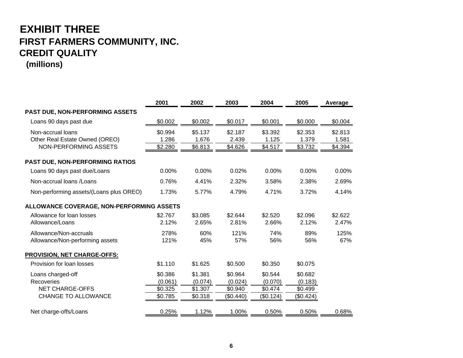## **EXHIBIT THREE FIRST FARMERS COMMUNITY, INC. CREDIT QUALITY**

**(millions)**

|                                                           | 2001               | 2002               | 2003               | 2004               | 2005               | Average          |
|-----------------------------------------------------------|--------------------|--------------------|--------------------|--------------------|--------------------|------------------|
| PAST DUE, NON-PERFORMING ASSETS                           |                    |                    |                    |                    |                    |                  |
| Loans 90 days past due                                    | \$0.002            | \$0.002            | \$0.017            | \$0.001            | \$0.000            | \$0.004          |
| Non-accrual loans<br>Other Real Estate Owned (OREO)       | \$0.994<br>1.286   | \$5.137<br>1.676   | \$2.187<br>2.439   | \$3.392<br>1.125   | \$2.353<br>1.379   | \$2.813<br>1.581 |
| NON-PERFORMING ASSETS                                     | \$2.280            | \$6.813            | \$4.626            | \$4.517            | \$3.732            | \$4.394          |
| PAST DUE, NON-PERFORMING RATIOS                           |                    |                    |                    |                    |                    |                  |
| Loans 90 days past due/Loans                              | 0.00%              | 0.00%              | 0.02%              | 0.00%              | 0.00%              | 0.00%            |
| Non-accrual loans / Loans                                 | 0.76%              | 4.41%              | 2.32%              | 3.58%              | 2.38%              | 2.69%            |
| Non-performing assets/(Loans plus OREO)                   | 1.73%              | 5.77%              | 4.79%              | 4.71%              | 3.72%              | 4.14%            |
| ALLOWANCE COVERAGE, NON-PERFORMING ASSETS                 |                    |                    |                    |                    |                    |                  |
| Allowance for loan losses<br>Allowance/Loans              | \$2.767<br>2.12%   | \$3.085<br>2.65%   | \$2.644<br>2.81%   | \$2.520<br>2.66%   | \$2.096<br>2.12%   | \$2.622<br>2.47% |
| Allowance/Non-accruals<br>Allowance/Non-performing assets | 278%<br>121%       | 60%<br>45%         | 121%<br>57%        | 74%<br>56%         | 89%<br>56%         | 125%<br>67%      |
| <b>PROVISION, NET CHARGE-OFFS:</b>                        |                    |                    |                    |                    |                    |                  |
| Provision for loan losses                                 | \$1.110            | \$1.625            | \$0.500            | \$0.350            | \$0.075            |                  |
| Loans charged-off<br><b>Recoveries</b>                    | \$0.386<br>(0.061) | \$1.381<br>(0.074) | \$0.964<br>(0.024) | \$0.544<br>(0.070) | \$0.682<br>(0.183) |                  |
| <b>NET CHARGE-OFFS</b>                                    | \$0.325            | \$1.307            | \$0.940            | \$0.474            | \$0.499            |                  |
| <b>CHANGE TO ALLOWANCE</b>                                | \$0.785            | \$0.318            | (\$0.440)          | (\$0.124)          | (\$0.424)          |                  |
| Net charge-offs/Loans                                     | 0.25%              | 1.12%              | 1.00%              | 0.50%              | 0.50%              | 0.68%            |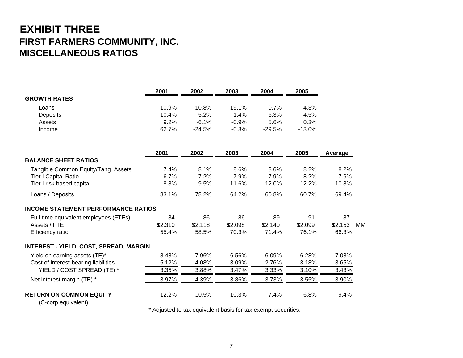## **EXHIBIT THREE FIRST FARMERS COMMUNITY, INC. MISCELLANEOUS RATIOS**

|                                               | 2001    | 2002     | 2003     | 2004     | 2005     |         |           |
|-----------------------------------------------|---------|----------|----------|----------|----------|---------|-----------|
| <b>GROWTH RATES</b>                           |         |          |          |          |          |         |           |
| Loans                                         | 10.9%   | $-10.8%$ | $-19.1%$ | 0.7%     | 4.3%     |         |           |
| Deposits                                      | 10.4%   | $-5.2%$  | $-1.4%$  | 6.3%     | 4.5%     |         |           |
| Assets                                        | 9.2%    | $-6.1%$  | $-0.9%$  | 5.6%     | 0.3%     |         |           |
| Income                                        | 62.7%   | $-24.5%$ | $-0.8%$  | $-29.5%$ | $-13.0%$ |         |           |
|                                               | 2001    | 2002     | 2003     | 2004     | 2005     | Average |           |
| <b>BALANCE SHEET RATIOS</b>                   |         |          |          |          |          |         |           |
| Tangible Common Equity/Tang. Assets           | 7.4%    | 8.1%     | 8.6%     | 8.6%     | 8.2%     | 8.2%    |           |
| Tier I Capital Ratio                          | 6.7%    | 7.2%     | 7.9%     | 7.9%     | 8.2%     | 7.6%    |           |
| Tier I risk based capital                     | 8.8%    | 9.5%     | 11.6%    | 12.0%    | 12.2%    | 10.8%   |           |
| Loans / Deposits                              | 83.1%   | 78.2%    | 64.2%    | 60.8%    | 60.7%    | 69.4%   |           |
| <b>INCOME STATEMENT PERFORMANCE RATIOS</b>    |         |          |          |          |          |         |           |
| Full-time equivalent employees (FTEs)         | 84      | 86       | 86       | 89       | 91       | 87      |           |
| Assets / FTE                                  | \$2.310 | \$2.118  | \$2.098  | \$2.140  | \$2.099  | \$2.153 | <b>MM</b> |
| Efficiency ratio                              | 55.4%   | 58.5%    | 70.3%    | 71.4%    | 76.1%    | 66.3%   |           |
| <b>INTEREST - YIELD, COST, SPREAD, MARGIN</b> |         |          |          |          |          |         |           |
| Yield on earning assets (TE)*                 | 8.48%   | 7.96%    | 6.56%    | 6.09%    | 6.28%    | 7.08%   |           |
| Cost of interest-bearing liabilities          | 5.12%   | 4.08%    | 3.09%    | 2.76%    | 3.18%    | 3.65%   |           |
| YIELD / COST SPREAD (TE) *                    | 3.35%   | 3.88%    | 3.47%    | 3.33%    | 3.10%    | 3.43%   |           |
| Net interest margin (TE) *                    | 3.97%   | 4.39%    | 3.86%    | 3.73%    | 3.55%    | 3.90%   |           |
| <b>RETURN ON COMMON EQUITY</b>                | 12.2%   | 10.5%    | 10.3%    | 7.4%     | 6.8%     | 9.4%    |           |
|                                               |         |          |          |          |          |         |           |

(C-corp equivalent)

\* Adjusted to tax equivalent basis for tax exempt securities.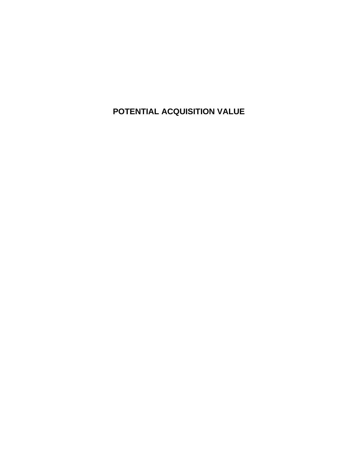**POTENTIAL ACQUISITION VALUE**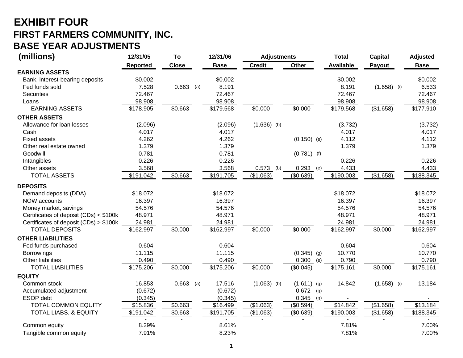## **EXHIBIT FOUR FIRST FARMERS COMMUNITY, INC. BASE YEAR ADJUSTMENTS**

| (millions)                             | 12/31/05  | To           | 12/31/06    |                          | <b>Adjustments</b> | <b>Total</b>     | <b>Capital</b> | <b>Adjusted</b> |
|----------------------------------------|-----------|--------------|-------------|--------------------------|--------------------|------------------|----------------|-----------------|
|                                        | Reported  | <b>Close</b> | <b>Base</b> | <b>Credit</b>            | Other              | <b>Available</b> | Payout         | <b>Base</b>     |
| <b>EARNING ASSETS</b>                  |           |              |             |                          |                    |                  |                |                 |
| Bank, interest-bearing deposits        | \$0.002   |              | \$0.002     |                          |                    | \$0.002          |                | \$0.002         |
| Fed funds sold                         | 7.528     | $0.663$ (a)  | 8.191       |                          |                    | 8.191            | $(1.658)$ (i)  | 6.533           |
| <b>Securities</b>                      | 72.467    |              | 72.467      |                          |                    | 72.467           |                | 72.467          |
| Loans                                  | 98.908    |              | 98.908      |                          |                    | 98.908           |                | 98.908          |
| <b>EARNING ASSETS</b>                  | \$178.905 | \$0.663      | \$179.568   | \$0.000                  | \$0.000            | \$179.568        | (\$1.658)      | \$177.910       |
| <b>OTHER ASSETS</b>                    |           |              |             |                          |                    |                  |                |                 |
| Allowance for loan losses              | (2.096)   |              |             | (2.096)<br>$(1.636)$ (b) |                    | (3.732)          |                | (3.732)         |
| Cash                                   | 4.017     |              |             | 4.017                    |                    | 4.017            |                | 4.017           |
| <b>Fixed assets</b>                    | 4.262     |              |             | 4.262                    | $(0.150)$ (e)      | 4.112            |                | 4.112           |
| Other real estate owned                | 1.379     |              |             | 1.379                    |                    | 1.379            |                | 1.379           |
| Goodwill                               | 0.781     |              | 0.781       |                          | $(0.781)$ (f)      |                  |                |                 |
| Intangibles                            | 0.226     |              |             | 0.226                    |                    | 0.226            |                | 0.226           |
| Other assets                           | 3.568     |              |             | 3.568<br>0.573           | 0.293<br>(b)       | 4.433<br>(e)     |                | 4.433           |
| <b>TOTAL ASSETS</b>                    | \$191.042 | \$0.663      | \$191.705   | (\$1.063)                | (\$0.639)          | \$190.003        | (\$1.658)      | \$188.345       |
| <b>DEPOSITS</b>                        |           |              |             |                          |                    |                  |                |                 |
| Demand deposits (DDA)                  | \$18.072  |              | \$18.072    |                          |                    | \$18.072         |                | \$18.072        |
| NOW accounts                           | 16.397    |              | 16.397      |                          |                    | 16.397           |                | 16.397          |
| Money market, savings                  | 54.576    |              | 54.576      |                          |                    | 54.576           |                | 54.576          |
| Certificates of deposit (CDs) < \$100k | 48.971    |              | 48.971      |                          |                    | 48.971           |                | 48.971          |
| Certificates of deposit (CDs) > \$100k | 24.981    |              | 24.981      |                          |                    | 24.981           |                | 24.981          |
| <b>TOTAL DEPOSITS</b>                  | \$162.997 | \$0.000      | \$162.997   | \$0.000                  | \$0.000            | \$162.997        | \$0.000        | \$162.997       |
| <b>OTHER LIABILITIES</b>               |           |              |             |                          |                    |                  |                |                 |
| Fed funds purchased                    | 0.604     |              |             | 0.604                    |                    | 0.604            |                | 0.604           |
| <b>Borrowings</b>                      | 11.115    |              | 11.115      |                          | $(0.345)$ (g)      | 10.770           |                | 10.770          |
| Other liabilities                      | 0.490     |              |             | 0.490                    | 0.300              | 0.790<br>(e)     |                | 0.790           |
| <b>TOTAL LIABILITIES</b>               | \$175.206 | \$0.000      | \$175.206   | \$0.000                  | (\$0.045)          | \$175.161        | \$0.000        | \$175.161       |
| <b>EQUITY</b>                          |           |              |             |                          |                    |                  |                |                 |
| Common stock                           | 16.853    | $0.663$ (a)  | 17.516      | $(1.063)$ (b)            | $(1.611)$ (g)      | 14.842           | $(1.658)$ (i)  | 13.184          |
| Accumulated adjustment                 | (0.672)   |              |             | (0.672)                  | 0.672              | (g)              |                |                 |
| ESOP debt                              | (0.345)   |              |             | (0.345)                  | 0.345              | (g)              |                |                 |
| <b>TOTAL COMMON EQUITY</b>             | \$15.836  | \$0.663      | \$16.499    | (\$1.063)                | (\$0.594)          | $\sqrt{$14.842}$ | (\$1.658)      | \$13.184        |
| <b>TOTAL LIABS. &amp; EQUITY</b>       | \$191.042 | \$0.663      | \$191.705   | (\$1.063)                | (\$0.639)          | \$190.003        | (\$1.658)      | \$188.345       |
| Common equity                          | 8.29%     |              |             | 8.61%                    |                    | 7.81%            |                | 7.00%           |
| Tangible common equity                 | 7.91%     |              |             | 8.23%                    |                    | 7.81%            |                | 7.00%           |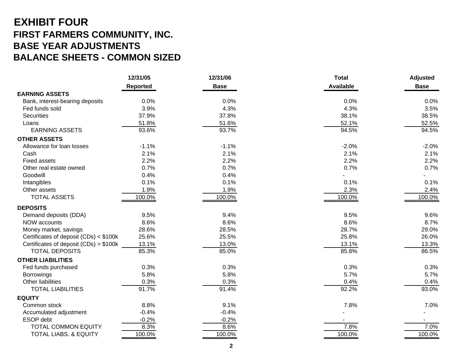## **EXHIBIT FOUR FIRST FARMERS COMMUNITY, INC. BASE YEAR ADJUSTMENTS BALANCE SHEETS - COMMON SIZED**

|                                        | 12/31/05        | 12/31/06    | <b>Total</b>     | <b>Adjusted</b> |
|----------------------------------------|-----------------|-------------|------------------|-----------------|
|                                        | <b>Reported</b> | <b>Base</b> | <b>Available</b> | <b>Base</b>     |
| <b>EARNING ASSETS</b>                  |                 |             |                  |                 |
| Bank, interest-bearing deposits        | 0.0%            | 0.0%        | 0.0%             | 0.0%            |
| Fed funds sold                         | 3.9%            | 4.3%        | 4.3%             | 3.5%            |
| <b>Securities</b>                      | 37.9%           | 37.8%       | 38.1%            | 38.5%           |
| Loans                                  | 51.8%           | 51.6%       | 52.1%            | 52.5%           |
| <b>EARNING ASSETS</b>                  | 93.6%           | 93.7%       | 94.5%            | 94.5%           |
| <b>OTHER ASSETS</b>                    |                 |             |                  |                 |
| Allowance for loan losses              | $-1.1%$         | $-1.1%$     | $-2.0%$          | $-2.0%$         |
| Cash                                   | 2.1%            | 2.1%        | 2.1%             | 2.1%            |
| <b>Fixed assets</b>                    | 2.2%            | 2.2%        | 2.2%             | 2.2%            |
| Other real estate owned                | 0.7%            | 0.7%        | 0.7%             | 0.7%            |
| Goodwill                               | 0.4%            | 0.4%        |                  |                 |
| Intangibles                            | 0.1%            | 0.1%        | 0.1%             | 0.1%            |
| Other assets                           | 1.9%            | 1.9%        | 2.3%             | 2.4%            |
| <b>TOTAL ASSETS</b>                    | 100.0%          | 100.0%      | 100.0%           | 100.0%          |
| <b>DEPOSITS</b>                        |                 |             |                  |                 |
| Demand deposits (DDA)                  | 9.5%            | 9.4%        | 9.5%             | 9.6%            |
| NOW accounts                           | 8.6%            | 8.6%        | 8.6%             | 8.7%            |
| Money market, savings                  | 28.6%           | 28.5%       | 28.7%            | 29.0%           |
| Certificates of deposit (CDs) < \$100k | 25.6%           | 25.5%       | 25.8%            | 26.0%           |
| Certificates of deposit (CDs) > \$100k | 13.1%           | 13.0%       | 13.1%            | 13.3%           |
| <b>TOTAL DEPOSITS</b>                  | 85.3%           | 85.0%       | 85.8%            | 86.5%           |
| <b>OTHER LIABILITIES</b>               |                 |             |                  |                 |
| Fed funds purchased                    | 0.3%            | 0.3%        | 0.3%             | 0.3%            |
| <b>Borrowings</b>                      | 5.8%            | 5.8%        | 5.7%             | 5.7%            |
| <b>Other liabilities</b>               | 0.3%            | 0.3%        | 0.4%             | 0.4%            |
| <b>TOTAL LIABILITIES</b>               | 91.7%           | 91.4%       | 92.2%            | 93.0%           |
| <b>EQUITY</b>                          |                 |             |                  |                 |
| Common stock                           | 8.8%            | 9.1%        | 7.8%             | 7.0%            |
| Accumulated adjustment                 | $-0.4%$         | $-0.4%$     |                  |                 |
| ESOP debt                              | $-0.2%$         | $-0.2%$     |                  |                 |
| <b>TOTAL COMMON EQUITY</b>             | 8.3%            | 8.6%        | 7.8%             | 7.0%            |
| <b>TOTAL LIABS. &amp; EQUITY</b>       | 100.0%          | 100.0%      | 100.0%           | 100.0%          |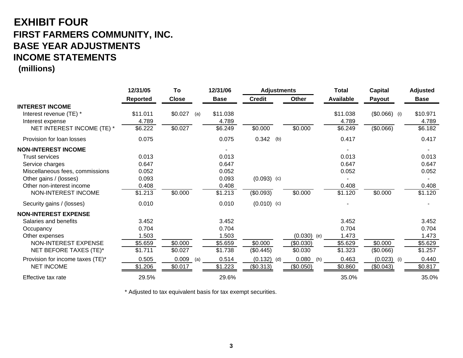## **EXHIBIT FOUR FIRST FARMERS COMMUNITY, INC. BASE YEAR ADJUSTMENTS INCOME STATEMENTS**

**(millions)**

|                                  | 12/31/05        | To             | 12/31/06    | <b>Adjustments</b> |               | <b>Total</b>     | <b>Capital</b> | <b>Adjusted</b> |
|----------------------------------|-----------------|----------------|-------------|--------------------|---------------|------------------|----------------|-----------------|
|                                  | <b>Reported</b> | <b>Close</b>   | <b>Base</b> | <b>Credit</b>      | Other         | <b>Available</b> | Payout         | <b>Base</b>     |
| <b>INTEREST INCOME</b>           |                 |                |             |                    |               |                  |                |                 |
| Interest revenue (TE) *          | \$11.011        | \$0.027<br>(a) | \$11.038    |                    |               | \$11.038         | $(50.066)$ (i) | \$10.971        |
| Interest expense                 | 4.789           |                | 4.789       |                    |               | 4.789            |                | 4.789           |
| NET INTEREST INCOME (TE) *       | \$6.222         | \$0.027        | \$6.249     | \$0.000            | \$0.000       | \$6.249          | (\$0.066)      | \$6.182         |
| Provision for loan losses        | 0.075           |                | 0.075       | $0.342$ (b)        |               | 0.417            |                | 0.417           |
| <b>NON-INTEREST INCOME</b>       |                 |                |             |                    |               |                  |                |                 |
| <b>Trust services</b>            | 0.013           |                | 0.013       |                    |               | 0.013            |                | 0.013           |
| Service charges                  | 0.647           |                | 0.647       |                    |               | 0.647            |                | 0.647           |
| Miscellaneous fees, commissions  | 0.052           |                | 0.052       |                    |               | 0.052            |                | 0.052           |
| Other gains / (losses)           | 0.093           |                | 0.093       | $(0.093)$ (c)      |               |                  |                |                 |
| Other non-interest income        | 0.408           |                | 0.408       |                    |               | 0.408            |                | 0.408           |
| NON-INTEREST INCOME              | \$1.213         | \$0.000        | \$1.213     | (\$0.093)          | \$0.000       | \$1.120          | \$0.000        | \$1.120         |
| Security gains / (losses)        | 0.010           |                | 0.010       | $(0.010)$ (c)      |               |                  |                |                 |
| <b>NON-INTEREST EXPENSE</b>      |                 |                |             |                    |               |                  |                |                 |
| Salaries and benefits            | 3.452           |                | 3.452       |                    |               | 3.452            |                | 3.452           |
| Occupancy                        | 0.704           |                | 0.704       |                    |               | 0.704            |                | 0.704           |
| Other expenses                   | 1.503           |                | 1.503       |                    | $(0.030)$ (e) | 1.473            |                | 1.473           |
| NON-INTEREST EXPENSE             | \$5.659         | \$0.000        | \$5.659     | \$0.000            | (\$0.030)     | \$5.629          | \$0.000        | \$5.629         |
| NET BEFORE TAXES (TE)*           | \$1.711         | \$0.027        | \$1.738     | (\$0.445)          | \$0.030       | \$1.323          | (\$0.066)      | \$1.257         |
| Provision for income taxes (TE)* | 0.505           | 0.009<br>(a)   | 0.514       | $(0.132)$ (d)      | 0.080<br>(h)  | 0.463            | (0.023)<br>(i) | 0.440           |
| <b>NET INCOME</b>                | \$1.206         | \$0.017        | \$1.223     | (\$0.313)          | (\$0.050)     | \$0.860          | (\$0.043)      | \$0.817         |
| Effective tax rate               | 29.5%           |                | 29.6%       |                    |               | 35.0%            |                | 35.0%           |

\* Adjusted to tax equivalent basis for tax exempt securities.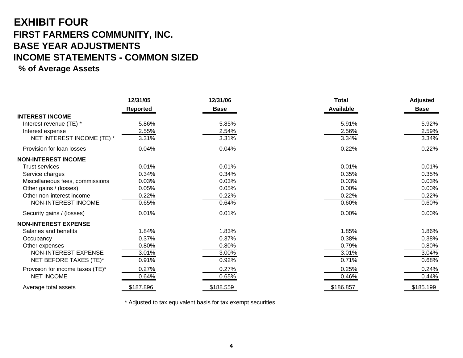## **EXHIBIT FOUR FIRST FARMERS COMMUNITY, INC. BASE YEAR ADJUSTMENTS INCOME STATEMENTS - COMMON SIZED**

### **% of Average Assets**

|                                  | 12/31/05  | 12/31/06    | <b>Total</b>     | <b>Adjusted</b> |
|----------------------------------|-----------|-------------|------------------|-----------------|
|                                  | Reported  | <b>Base</b> | <b>Available</b> | <b>Base</b>     |
| <b>INTEREST INCOME</b>           |           |             |                  |                 |
| Interest revenue (TE) *          | 5.86%     | 5.85%       | 5.91%            | 5.92%           |
| Interest expense                 | 2.55%     | 2.54%       | 2.56%            | 2.59%           |
| NET INTEREST INCOME (TE) *       | 3.31%     | 3.31%       | 3.34%            | 3.34%           |
| Provision for loan losses        | 0.04%     | 0.04%       | 0.22%            | 0.22%           |
| <b>NON-INTEREST INCOME</b>       |           |             |                  |                 |
| <b>Trust services</b>            | 0.01%     | 0.01%       | 0.01%            | 0.01%           |
| Service charges                  | 0.34%     | 0.34%       | 0.35%            | 0.35%           |
| Miscellaneous fees, commissions  | 0.03%     | 0.03%       | 0.03%            | 0.03%           |
| Other gains / (losses)           | 0.05%     | 0.05%       | 0.00%            | 0.00%           |
| Other non-interest income        | 0.22%     | 0.22%       | 0.22%            | 0.22%           |
| NON-INTEREST INCOME              | 0.65%     | 0.64%       | 0.60%            | 0.60%           |
| Security gains / (losses)        | 0.01%     | 0.01%       | 0.00%            | $0.00\%$        |
| <b>NON-INTEREST EXPENSE</b>      |           |             |                  |                 |
| Salaries and benefits            | 1.84%     | 1.83%       | 1.85%            | 1.86%           |
| Occupancy                        | 0.37%     | 0.37%       | 0.38%            | 0.38%           |
| Other expenses                   | 0.80%     | 0.80%       | 0.79%            | 0.80%           |
| NON-INTEREST EXPENSE             | 3.01%     | 3.00%       | 3.01%            | 3.04%           |
| NET BEFORE TAXES (TE)*           | 0.91%     | 0.92%       | 0.71%            | 0.68%           |
| Provision for income taxes (TE)* | 0.27%     | 0.27%       | 0.25%            | 0.24%           |
| <b>NET INCOME</b>                | 0.64%     | 0.65%       | 0.46%            | 0.44%           |
| Average total assets             | \$187.896 | \$188.559   | \$186.857        | \$185.199       |

\* Adjusted to tax equivalent basis for tax exempt securities.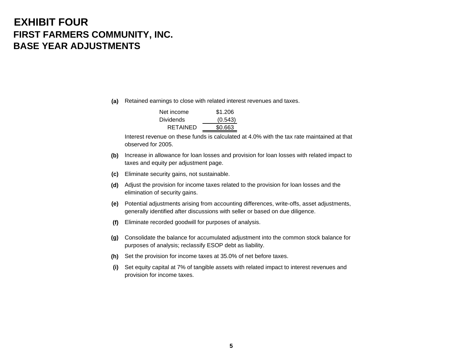## **EXHIBIT FOURFIRST FARMERS COMMUNITY, INC. BASE YEAR ADJUSTMENTS**

**(a)** Retained earnings to close with related interest revenues and taxes.

| Net income       | \$1.206 |
|------------------|---------|
| <b>Dividends</b> | (0.543) |
| RETAINED         | \$0.663 |

Interest revenue on these funds is calculated at 4.0% with the tax rate maintained at thatobserved for 2005.

- **(b)** Increase in allowance for loan losses and provision for loan losses with related impact to taxes and equity per adjustment page.
- **(c)** Eliminate security gains, not sustainable.
- **(d)** Adjust the provision for income taxes related to the provision for loan losses and the elimination of security gains.
- **(e)** Potential adjustments arising from accounting differences, write-offs, asset adjustments, generally identified after discussions with seller or based on due diligence.
- **(f)** Eliminate recorded goodwill for purposes of analysis.
- **(g)** Consolidate the balance for accumulated adjustment into the common stock balance for purposes of analysis; reclassify ESOP debt as liability.
- **(h)** Set the provision for income taxes at 35.0% of net before taxes.
- **(i)** Set equity capital at 7% of tangible assets with related impact to interest revenues and provision for income taxes.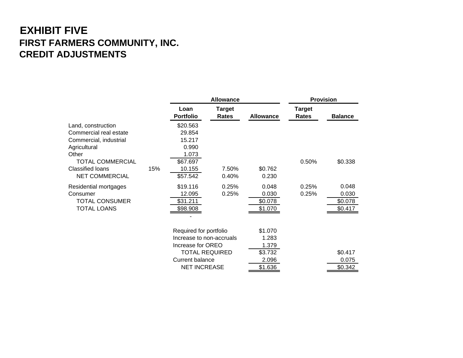## **EXHIBIT FIVE FIRST FARMERS COMMUNITY, INC. CREDIT ADJUSTMENTS**

|                                                                                                                                                                                |     | <b>Allowance</b>                                                                                                                           |                        |                                                          | <b>Provision</b>       |                                      |  |
|--------------------------------------------------------------------------------------------------------------------------------------------------------------------------------|-----|--------------------------------------------------------------------------------------------------------------------------------------------|------------------------|----------------------------------------------------------|------------------------|--------------------------------------|--|
|                                                                                                                                                                                |     | Loan<br><b>Portfolio</b>                                                                                                                   | <b>Target</b><br>Rates | <b>Allowance</b>                                         | <b>Target</b><br>Rates | <b>Balance</b>                       |  |
| Land, construction<br>Commercial real estate<br>Commercial, industrial<br>Agricultural<br>Other<br><b>TOTAL COMMERCIAL</b><br><b>Classified loans</b><br><b>NET COMMERCIAL</b> | 15% | \$20.563<br>29.854<br>15.217<br>0.990<br>1.073<br>\$67.697<br>10.155<br>\$57.542                                                           | 7.50%<br>0.40%         | \$0.762<br>0.230                                         | 0.50%                  | \$0.338                              |  |
| Residential mortgages<br>Consumer<br><b>TOTAL CONSUMER</b><br><b>TOTAL LOANS</b>                                                                                               |     | \$19.116<br>12.095<br>\$31.211<br>\$98.908                                                                                                 | 0.25%<br>0.25%         | 0.048<br>0.030<br>\$0.078<br>\$1.070                     | 0.25%<br>0.25%         | 0.048<br>0.030<br>\$0.078<br>\$0.417 |  |
|                                                                                                                                                                                |     | Required for portfolio<br>Increase to non-accruals<br>Increase for OREO<br><b>TOTAL REQUIRED</b><br>Current balance<br><b>NET INCREASE</b> |                        | \$1.070<br>1.283<br>1.379<br>\$3.732<br>2.096<br>\$1.636 |                        | \$0.417<br>0.075<br>\$0.342          |  |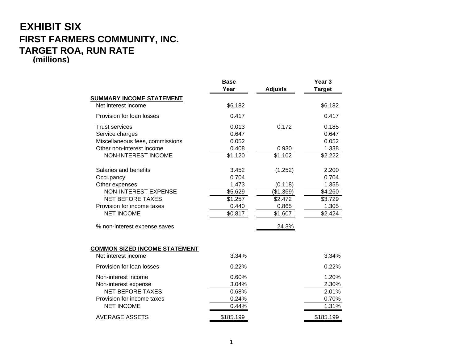### **EXHIBIT SIX FIRST FARMERS COMMUNITY, INC. TARGET ROA, RUN RATE (millions)**

|                                                                                                                                                                                                   | <b>Base</b><br>Year                                               | <b>Adjusts</b>                                                          | Year <sub>3</sub><br><b>Target</b>                                |
|---------------------------------------------------------------------------------------------------------------------------------------------------------------------------------------------------|-------------------------------------------------------------------|-------------------------------------------------------------------------|-------------------------------------------------------------------|
| <b>SUMMARY INCOME STATEMENT</b>                                                                                                                                                                   |                                                                   |                                                                         |                                                                   |
| Net interest income                                                                                                                                                                               | \$6.182                                                           |                                                                         | \$6.182                                                           |
| Provision for loan losses                                                                                                                                                                         | 0.417                                                             |                                                                         | 0.417                                                             |
| <b>Trust services</b><br>Service charges<br>Miscellaneous fees, commissions<br>Other non-interest income<br><b>NON-INTEREST INCOME</b>                                                            | 0.013<br>0.647<br>0.052<br>0.408<br>\$1.120                       | 0.172<br>0.930<br>\$1.102                                               | 0.185<br>0.647<br>0.052<br>1.338<br>\$2.222                       |
| Salaries and benefits<br>Occupancy<br>Other expenses<br><b>NON-INTEREST EXPENSE</b><br><b>NET BEFORE TAXES</b><br>Provision for income taxes<br><b>NET INCOME</b><br>% non-interest expense saves | 3.452<br>0.704<br>1.473<br>\$5.629<br>\$1.257<br>0.440<br>\$0.817 | (1.252)<br>(0.118)<br>(\$1.369)<br>\$2.472<br>0.865<br>\$1.607<br>24.3% | 2.200<br>0.704<br>1.355<br>\$4.260<br>\$3.729<br>1.305<br>\$2.424 |
| <b>COMMON SIZED INCOME STATEMENT</b>                                                                                                                                                              |                                                                   |                                                                         |                                                                   |
| Net interest income                                                                                                                                                                               | 3.34%                                                             |                                                                         | 3.34%                                                             |
| Provision for loan losses                                                                                                                                                                         | 0.22%                                                             |                                                                         | 0.22%                                                             |
| Non-interest income<br>Non-interest expense<br><b>NET BEFORE TAXES</b><br>Provision for income taxes<br><b>NET INCOME</b>                                                                         | 0.60%<br>3.04%<br>0.68%<br>0.24%<br>0.44%                         |                                                                         | 1.20%<br>2.30%<br>2.01%<br>0.70%<br>1.31%                         |
| AVERAGE ASSETS                                                                                                                                                                                    | \$185.199                                                         |                                                                         | \$185.199                                                         |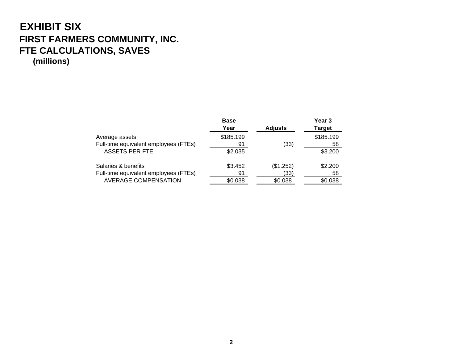## **EXHIBIT SIX FIRST FARMERS COMMUNITY, INC. FTE CALCULATIONS, SAVES (millions)**

|                                       | <b>Base</b> |                | Year 3        |
|---------------------------------------|-------------|----------------|---------------|
|                                       | Year        | <b>Adjusts</b> | <b>Target</b> |
| Average assets                        | \$185.199   |                | \$185.199     |
| Full-time equivalent employees (FTEs) | 91          | (33)           | 58            |
| <b>ASSETS PER FTE</b>                 | \$2.035     |                | \$3.200       |
| Salaries & benefits                   | \$3.452     | (\$1.252)      | \$2.200       |
| Full-time equivalent employees (FTEs) | 91          | (33)           | 58            |
| AVERAGE COMPENSATION                  | \$0.038     | \$0.038        | \$0.038       |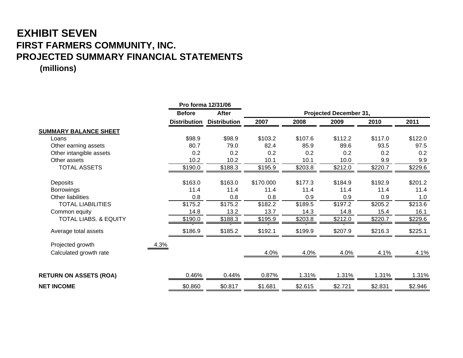## **EXHIBIT SEVEN FIRST FARMERS COMMUNITY, INC. PROJECTED SUMMARY FINANCIAL STATEMENTS**

**(millions)**

|                                  |                     | Pro forma 12/31/06  |           |         |                        |         |                    |
|----------------------------------|---------------------|---------------------|-----------|---------|------------------------|---------|--------------------|
|                                  | <b>Before</b>       | After               |           |         | Projected December 31, |         |                    |
|                                  | <b>Distribution</b> | <b>Distribution</b> | 2007      | 2008    | 2009                   | 2010    | 2011               |
| <b>SUMMARY BALANCE SHEET</b>     |                     |                     |           |         |                        |         |                    |
| Loans                            | \$98.9              | \$98.9              | \$103.2   | \$107.6 | \$112.2                | \$117.0 | \$122.0            |
| Other earning assets             | 80.7                | 79.0                | 82.4      | 85.9    | 89.6                   | 93.5    | 97.5               |
| Other intangible assets          | 0.2                 | 0.2                 | 0.2       | 0.2     | 0.2                    | 0.2     | 0.2                |
| Other assets                     | 10.2                | 10.2                | 10.1      | 10.1    | 10.0                   | 9.9     | 9.9                |
| <b>TOTAL ASSETS</b>              | \$190.0             | \$188.3             | \$195.9   | \$203.8 | \$212.0                | \$220.7 | \$229.6            |
| <b>Deposits</b>                  | \$163.0             | \$163.0             | \$170.000 | \$177.3 | \$184.9                | \$192.9 | \$201.2            |
| <b>Borrowings</b>                | 11.4                | 11.4                | 11.4      | 11.4    | 11.4                   | 11.4    | 11.4               |
| Other liabilities                | 0.8                 | 0.8                 | 0.8       | 0.9     | 0.9                    | 0.9     | 1.0                |
| <b>TOTAL LIABILITIES</b>         | \$175.2             | \$175.2             | \$182.2   | \$189.5 | \$197.2                | \$205.2 | \$213.6            |
| Common equity                    | 14.8                | 13.2                | 13.7      | 14.3    | 14.8                   | 15.4    | 16.1               |
| <b>TOTAL LIABS. &amp; EQUITY</b> | \$190.0             | \$188.3             | \$195.9   | \$203.8 | \$212.0                | \$220.7 | $\frac{1}{2229.6}$ |
| Average total assets             | \$186.9             | \$185.2             | \$192.1   | \$199.9 | \$207.9                | \$216.3 | \$225.1            |
| Projected growth<br>4.3%         |                     |                     |           |         |                        |         |                    |
| Calculated growth rate           |                     |                     | 4.0%      | 4.0%    | 4.0%                   | 4.1%    | 4.1%               |
|                                  |                     |                     |           |         |                        |         |                    |
| <b>RETURN ON ASSETS (ROA)</b>    | 0.46%               | 0.44%               | 0.87%     | 1.31%   | 1.31%                  | 1.31%   | 1.31%              |
| <b>NET INCOME</b>                | \$0.860             | \$0.817             | \$1.681   | \$2.615 | \$2.721                | \$2.831 | \$2.946            |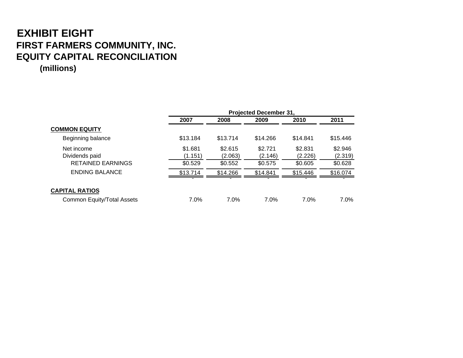# **EXHIBIT EIGHT FIRST FARMERS COMMUNITY, INC. EQUITY CAPITAL RECONCILIATION**

**(millions)**

|                                   |          |          | <b>Projected December 31.</b> |          |          |
|-----------------------------------|----------|----------|-------------------------------|----------|----------|
|                                   | 2007     | 2008     | 2009                          | 2010     | 2011     |
| <b>COMMON EQUITY</b>              |          |          |                               |          |          |
| Beginning balance                 | \$13.184 | \$13.714 | \$14.266                      | \$14.841 | \$15.446 |
| Net income                        | \$1.681  | \$2.615  | \$2.721                       | \$2.831  | \$2.946  |
| Dividends paid                    | (1.151)  | (2.063)  | (2.146)                       | (2.226)  | (2.319)  |
| <b>RETAINED EARNINGS</b>          | \$0.529  | \$0.552  | \$0.575                       | \$0.605  | \$0.628  |
| <b>ENDING BALANCE</b>             | \$13.714 | \$14.266 | \$14.841                      | \$15.446 | \$16.074 |
|                                   |          |          |                               |          |          |
| <b>CAPITAL RATIOS</b>             |          |          |                               |          |          |
| <b>Common Equity/Total Assets</b> | 7.0%     | $7.0\%$  | 7.0%                          | 7.0%     | $7.0\%$  |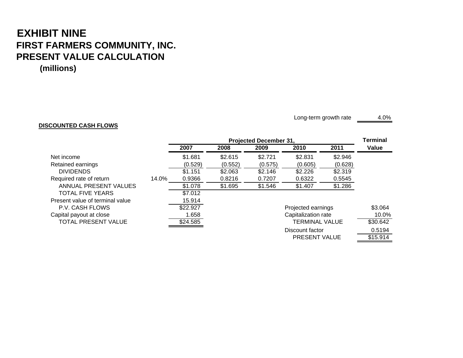## **EXHIBIT NINE FIRST FARMERS COMMUNITY, INC. PRESENT VALUE CALCULATION**

**(millions)**

### **DISCOUNTED CASH FLOWS**

Long-term growth rate 4.0%

PRESENT VALUE \$15.914

|                                 |       |          | <b>Projected December 31.</b> |         |                       |         |          |  |
|---------------------------------|-------|----------|-------------------------------|---------|-----------------------|---------|----------|--|
|                                 |       | 2007     | 2008                          | 2009    | 2010                  | 2011    | Value    |  |
| Net income                      |       | \$1.681  | \$2.615                       | \$2.721 | \$2.831               | \$2.946 |          |  |
| Retained earnings               |       | (0.529)  | (0.552)                       | (0.575) | (0.605)               | (0.628) |          |  |
| <b>DIVIDENDS</b>                |       | \$1.151  | \$2.063                       | \$2.146 | \$2.226               | \$2.319 |          |  |
| Required rate of return         | 14.0% | 0.9366   | 0.8216                        | 0.7207  | 0.6322                | 0.5545  |          |  |
| ANNUAL PRESENT VALUES           |       | \$1.078  | \$1.695                       | \$1.546 | \$1.407               | \$1.286 |          |  |
| <b>TOTAL FIVE YEARS</b>         |       | \$7.012  |                               |         |                       |         |          |  |
| Present value of terminal value |       | 15.914   |                               |         |                       |         |          |  |
| P.V. CASH FLOWS                 |       | \$22.927 |                               |         | Projected earnings    |         | \$3.064  |  |
| Capital payout at close         |       | 1.658    |                               |         | Capitalization rate   |         | 10.0%    |  |
| TOTAL PRESENT VALUE             |       | \$24.585 |                               |         | <b>TERMINAL VALUE</b> |         | \$30.642 |  |
|                                 |       |          |                               |         | Discount factor       |         | 0.5194   |  |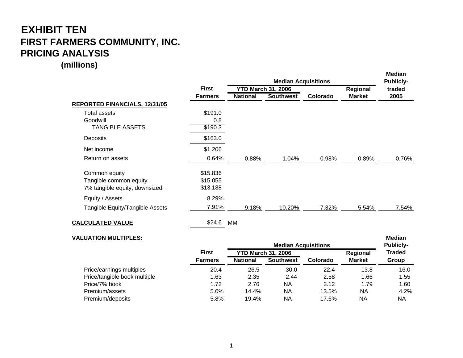## **EXHIBIT TEN FIRST FARMERS COMMUNITY, INC. PRICING ANALYSIS**

**(millions)**

|                                 |                |                           | <b>Median Acquisitions</b> |          |               | <b>Median</b><br><b>Publicly-</b> |  |
|---------------------------------|----------------|---------------------------|----------------------------|----------|---------------|-----------------------------------|--|
|                                 | <b>First</b>   | <b>YTD March 31, 2006</b> |                            |          | Regional      | traded                            |  |
|                                 | <b>Farmers</b> | <b>National</b>           | <b>Southwest</b>           | Colorado | <b>Market</b> | 2005                              |  |
| REPORTED FINANCIALS, 12/31/05   |                |                           |                            |          |               |                                   |  |
| Total assets                    | \$191.0        |                           |                            |          |               |                                   |  |
| Goodwill                        | 0.8            |                           |                            |          |               |                                   |  |
| <b>TANGIBLE ASSETS</b>          | \$190.3        |                           |                            |          |               |                                   |  |
| Deposits                        | \$163.0        |                           |                            |          |               |                                   |  |
| Net income                      | \$1.206        |                           |                            |          |               |                                   |  |
| Return on assets                | 0.64%          | 0.88%                     | 1.04%                      | 0.98%    | 0.89%         | 0.76%                             |  |
| Common equity                   | \$15.836       |                           |                            |          |               |                                   |  |
| Tangible common equity          | \$15.055       |                           |                            |          |               |                                   |  |
| 7% tangible equity, downsized   | \$13.188       |                           |                            |          |               |                                   |  |
| Equity / Assets                 | 8.29%          |                           |                            |          |               |                                   |  |
| Tangible Equity/Tangible Assets | 7.91%          | 9.18%                     | 10.20%                     | 7.32%    | 5.54%         | 7.54%                             |  |
| <b>CALCULATED VALUE</b>         | \$24.6         | МM                        |                            |          |               |                                   |  |

#### **VALUATION MULTIPLES:Median Security Security Construction Construction Construction Construction Construction Construction Construction**

|                              |                |                           | <b>Publicly-</b> |          |               |               |
|------------------------------|----------------|---------------------------|------------------|----------|---------------|---------------|
|                              | <b>First</b>   | <b>YTD March 31, 2006</b> |                  |          | Regional      | <b>Traded</b> |
|                              | <b>Farmers</b> | <b>National</b>           | <b>Southwest</b> | Colorado | <b>Market</b> | Group         |
| Price/earnings multiples     | 20.4           | 26.5                      | 30.0             | 22.4     | 13.8          | 16.0          |
| Price/tangible book multiple | 1.63           | 2.35                      | 2.44             | 2.58     | 1.66          | 1.55          |
| Price/7% book                | 1.72           | 2.76                      | ΝA               | 3.12     | 1.79          | 1.60          |
| Premium/assets               | 5.0%           | 14.4%                     | ΝA               | 13.5%    | <b>NA</b>     | 4.2%          |
| Premium/deposits             | 5.8%           | 19.4%                     | <b>NA</b>        | 17.6%    | ΝA            | NA            |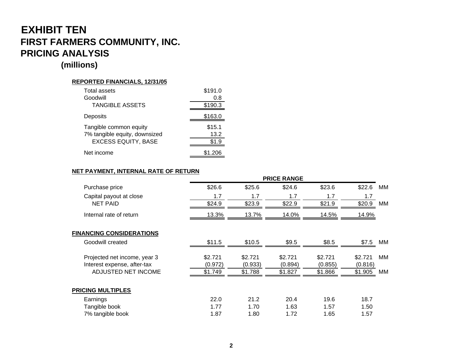## **EXHIBIT TEN FIRST FARMERS COMMUNITY, INC. PRICING ANALYSIS**

### **(millions)**

### **REPORTED FINANCIALS, 12/31/05**

| Total assets                  | \$191.0 |
|-------------------------------|---------|
| Goodwill                      | 0.8     |
| <b>TANGIBLE ASSETS</b>        | \$190.3 |
| Deposits                      | \$163.0 |
| Tangible common equity        | \$15.1  |
| 7% tangible equity, downsized | 13.2    |
| <b>EXCESS EQUITY, BASE</b>    | \$1.9   |
| Net income                    |         |

### **NET PAYMENT, INTERNAL RATE OF RETURN**

|                                 |         |         | <b>PRICE RANGE</b> |         |         |    |
|---------------------------------|---------|---------|--------------------|---------|---------|----|
| Purchase price                  | \$26.6  | \$25.6  | \$24.6             | \$23.6  | \$22.6  | MМ |
| Capital payout at close         | 1.7     | 1.7     | 1.7                | 1.7     | 1.7     |    |
| <b>NET PAID</b>                 | \$24.9  | \$23.9  | \$22.9             | \$21.9  | \$20.9  | MM |
| Internal rate of return         | 13.3%   | 13.7%   | 14.0%              | 14.5%   | 14.9%   |    |
| <b>FINANCING CONSIDERATIONS</b> |         |         |                    |         |         |    |
| Goodwill created                | \$11.5  | \$10.5  | \$9.5              | \$8.5   | \$7.5   | MМ |
| Projected net income, year 3    | \$2.721 | \$2.721 | \$2.721            | \$2.721 | \$2.721 | MМ |
| Interest expense, after-tax     | (0.972) | (0.933) | (0.894)            | (0.855) | (0.816) |    |
| ADJUSTED NET INCOME             | \$1.749 | \$1.788 | \$1.827            | \$1.866 | \$1.905 | MM |
| <b>PRICING MULTIPLES</b>        |         |         |                    |         |         |    |
| Earnings                        | 22.0    | 21.2    | 20.4               | 19.6    | 18.7    |    |
| Tangible book                   | 1.77    | 1.70    | 1.63               | 1.57    | 1.50    |    |
| 7% tangible book                | 1.87    | 1.80    | 1.72               | 1.65    | 1.57    |    |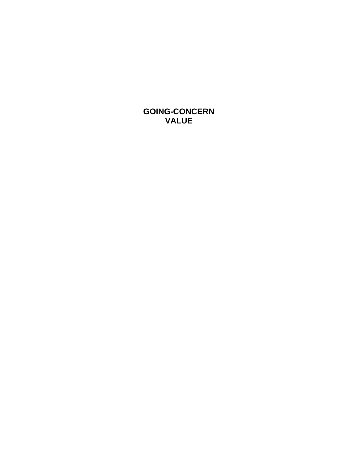**GOING-CONCERN VALUE**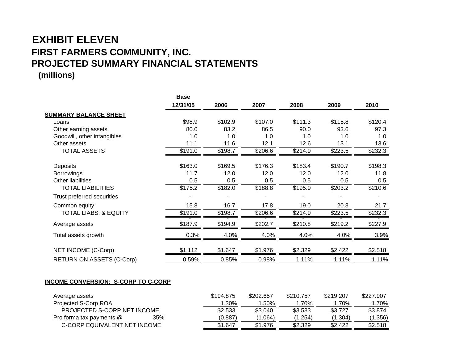## **EXHIBIT ELEVENFIRST FARMERS COMMUNITY, INC. PROJECTED SUMMARY FINANCIAL STATEMENTS (millions)**

|                                  | <b>Base</b> |         |         |         |         |         |
|----------------------------------|-------------|---------|---------|---------|---------|---------|
|                                  | 12/31/05    | 2006    | 2007    | 2008    | 2009    | 2010    |
| <b>SUMMARY BALANCE SHEET</b>     |             |         |         |         |         |         |
| Loans                            | \$98.9      | \$102.9 | \$107.0 | \$111.3 | \$115.8 | \$120.4 |
| Other earning assets             | 80.0        | 83.2    | 86.5    | 90.0    | 93.6    | 97.3    |
| Goodwill, other intangibles      | 1.0         | 1.0     | 1.0     | 1.0     | 1.0     | 1.0     |
| Other assets                     | 11.1        | 11.6    | 12.1    | 12.6    | 13.1    | 13.6    |
| <b>TOTAL ASSETS</b>              | \$191.0     | \$198.7 | \$206.6 | \$214.9 | \$223.5 | \$232.3 |
| Deposits                         | \$163.0     | \$169.5 | \$176.3 | \$183.4 | \$190.7 | \$198.3 |
| <b>Borrowings</b>                | 11.7        | 12.0    | 12.0    | 12.0    | 12.0    | 11.8    |
| <b>Other liabilities</b>         | 0.5         | 0.5     | 0.5     | 0.5     | 0.5     | 0.5     |
| <b>TOTAL LIABILITIES</b>         | \$175.2     | \$182.0 | \$188.8 | \$195.9 | \$203.2 | \$210.6 |
| Trust preferred securities       |             |         |         |         |         |         |
| Common equity                    | 15.8        | 16.7    | 17.8    | 19.0    | 20.3    | 21.7    |
| <b>TOTAL LIABS. &amp; EQUITY</b> | \$191.0     | \$198.7 | \$206.6 | \$214.9 | \$223.5 | \$232.3 |
| Average assets                   | \$187.9     | \$194.9 | \$202.7 | \$210.8 | \$219.2 | \$227.9 |
| Total assets growth              | 0.3%        | 4.0%    | 4.0%    | 4.0%    | 4.0%    | 3.9%    |
| NET INCOME (C-Corp)              | \$1.112     | \$1.647 | \$1.976 | \$2.329 | \$2.422 | \$2.518 |
| <b>RETURN ON ASSETS (C-Corp)</b> | 0.59%       | 0.85%   | 0.98%   | 1.11%   | 1.11%   | 1.11%   |

### **INCOME CONVERSION: S-CORP TO C-CORP**

| Average assets                  | \$194.875 | \$202.657 | \$210.757 | \$219.207 | \$227,907 |
|---------------------------------|-----------|-----------|-----------|-----------|-----------|
| Projected S-Corp ROA            | 1.30%     | .50%      | $.70\%$   | 1.70%     | 1.70%     |
| PROJECTED S-CORP NET INCOME     | \$2.533   | \$3.040   | \$3.583   | \$3.727   | \$3.874   |
| 35%<br>Pro forma tax payments @ | (0.887)   | .064)     | 0.254     | (1.304)   | (1.356)   |
| C-CORP EQUIVALENT NET INCOME    | \$1.647   | \$1.976   | \$2.329   | \$2.422   | \$2.518   |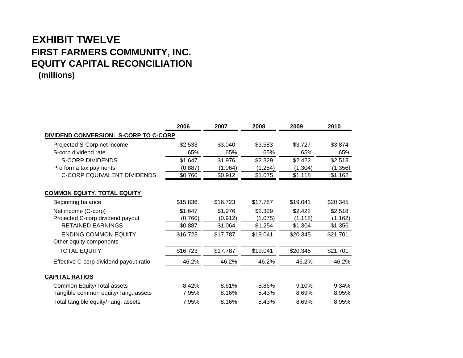## **EXHIBIT TWELVEFIRST FARMERS COMMUNITY, INC. EQUITY CAPITAL RECONCILIATION (millions)**

|                                        | 2006     | 2007     | 2008     | 2009     | 2010     |
|----------------------------------------|----------|----------|----------|----------|----------|
| DIVIDEND CONVERSION: S-CORP TO C-CORP  |          |          |          |          |          |
| Projected S-Corp net income            | \$2.533  | \$3.040  | \$3.583  | \$3.727  | \$3.874  |
| S-corp dividend rate                   | 65%      | 65%      | 65%      | 65%      | 65%      |
| <b>S-CORP DIVIDENDS</b>                | \$1.647  | \$1.976  | \$2.329  | \$2.422  | \$2.518  |
| Pro forma tax payments                 | (0.887)  | (1.064)  | (1.254)  | (1.304)  | (1.356)  |
| <b>C-CORP EQUIVALENT DIVIDENDS</b>     | \$0.760  | \$0.912  | \$1.075  | \$1.118  | \$1.162  |
| <b>COMMON EQUITY, TOTAL EQUITY</b>     |          |          |          |          |          |
| Beginning balance                      | \$15.836 | \$16.723 | \$17.787 | \$19.041 | \$20.345 |
| Net income (C-corp)                    | \$1.647  | \$1.976  | \$2.329  | \$2.422  | \$2.518  |
| Projected C-corp dividend payout       | (0.760)  | (0.912)  | (1.075)  | (1.118)  | (1.162)  |
| <b>RETAINED EARNINGS</b>               | \$0.887  | \$1.064  | \$1.254  | \$1.304  | \$1.356  |
| <b>ENDING COMMON EQUITY</b>            | \$16.723 | \$17.787 | \$19.041 | \$20.345 | \$21.701 |
| Other equity components                |          |          |          |          |          |
| <b>TOTAL EQUITY</b>                    | \$16.723 | \$17.787 | \$19.041 | \$20.345 | \$21.701 |
| Effective C-corp dividend payout ratio | 46.2%    | 46.2%    | 46.2%    | 46.2%    | 46.2%    |
| <b>CAPITAL RATIOS</b>                  |          |          |          |          |          |
| Common Equity/Total assets             | 8.42%    | 8.61%    | 8.86%    | 9.10%    | 9.34%    |
| Tangible common equity/Tang. assets    | 7.95%    | 8.16%    | 8.43%    | 8.69%    | 8.95%    |
| Total tangible equity/Tang. assets     | 7.95%    | 8.16%    | 8.43%    | 8.69%    | 8.95%    |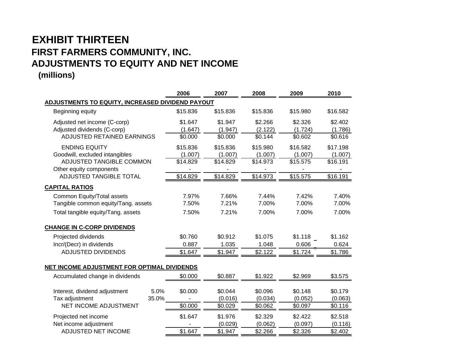## **EXHIBIT THIRTEENFIRST FARMERS COMMUNITY, INC. ADJUSTMENTS TO EQUITY AND NET INCOME (millions)**

|                                                                                                               |               | 2006                            | 2007                            | 2008                            | 2009                            | 2010                            |
|---------------------------------------------------------------------------------------------------------------|---------------|---------------------------------|---------------------------------|---------------------------------|---------------------------------|---------------------------------|
| <b>ADJUSTMENTS TO EQUITY, INCREASED DIVIDEND PAYOUT</b>                                                       |               |                                 |                                 |                                 |                                 |                                 |
| Beginning equity                                                                                              |               | \$15.836                        | \$15.836                        | \$15.836                        | \$15.980                        | \$16.582                        |
| Adjusted net income (C-corp)<br>Adjusted dividends (C-corp)<br>ADJUSTED RETAINED EARNINGS                     |               | \$1.647<br>(1.647)<br>\$0.000   | \$1.947<br>(1.947)<br>\$0.000   | \$2.266<br>(2.122)<br>\$0.144   | \$2.326<br>(1.724)<br>\$0.602   | \$2.402<br>(1.786)<br>\$0.616   |
| <b>ENDING EQUITY</b><br>Goodwill, excluded intangibles<br>ADJUSTED TANGIBLE COMMON<br>Other equity components |               | \$15.836<br>(1.007)<br>\$14.829 | \$15.836<br>(1.007)<br>\$14.829 | \$15.980<br>(1.007)<br>\$14.973 | \$16.582<br>(1.007)<br>\$15.575 | \$17.198<br>(1.007)<br>\$16.191 |
| ADJUSTED TANGIBLE TOTAL                                                                                       |               | \$14.829                        | \$14.829                        | \$14.973                        | \$15.575                        | \$16.191                        |
| <b>CAPITAL RATIOS</b>                                                                                         |               |                                 |                                 |                                 |                                 |                                 |
| Common Equity/Total assets<br>Tangible common equity/Tang. assets<br>Total tangible equity/Tang. assets       |               | 7.97%<br>7.50%<br>7.50%         | 7.66%<br>7.21%<br>7.21%         | 7.44%<br>7.00%<br>7.00%         | 7.42%<br>7.00%<br>7.00%         | 7.40%<br>7.00%<br>7.00%         |
|                                                                                                               |               |                                 |                                 |                                 |                                 |                                 |
| <b>CHANGE IN C-CORP DIVIDENDS</b>                                                                             |               |                                 |                                 |                                 |                                 |                                 |
| Projected dividends                                                                                           |               | \$0.760                         | \$0.912                         | \$1.075                         | \$1.118                         | \$1.162                         |
| Incr/(Decr) in dividends                                                                                      |               | 0.887                           | 1.035                           | 1.048                           | 0.606                           | 0.624                           |
| <b>ADJUSTED DIVIDENDS</b>                                                                                     |               | \$1.647                         | \$1.947                         | \$2.122                         | \$1.724                         | \$1.786                         |
| NET INCOME ADJUSTMENT FOR OPTIMAL DIVIDENDS                                                                   |               |                                 |                                 |                                 |                                 |                                 |
| Accumulated change in dividends                                                                               |               | \$0.000                         | \$0.887                         | \$1.922                         | \$2.969                         | \$3.575                         |
| Interest, dividend adjustment<br>Tax adjustment                                                               | 5.0%<br>35.0% | \$0.000                         | \$0.044<br>(0.016)              | \$0.096<br>(0.034)              | \$0.148<br>(0.052)              | \$0.179<br>(0.063)              |
| NET INCOME ADJUSTMENT                                                                                         |               | \$0.000                         | \$0.029                         | \$0.062                         | \$0.097                         | \$0.116                         |
| Projected net income<br>Net income adjustment                                                                 |               | \$1.647                         | \$1.976<br>(0.029)              | \$2.329<br>(0.062)              | \$2.422<br>(0.097)              | \$2.518<br>(0.116)              |
| ADJUSTED NET INCOME                                                                                           |               | \$1.647                         | \$1.947                         | \$2.266                         | \$2.326                         | \$2.402                         |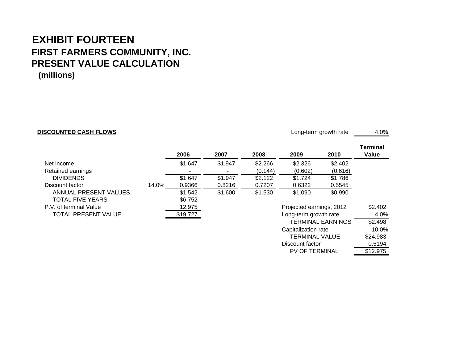## **EXHIBIT FOURTEENFIRST FARMERS COMMUNITY, INC. PRESENT VALUE CALCULATION (millions)**

### **DISCOUNTED CASH FLOWS**

Long-term growth rate 4.0%

Discount factor

PV OF TERMINAL \$12.975

**Terminal**

0.5194

|                            |       | 2006     | 2007    | 2008    | 2009                     | 2010                     | rerminar<br>Value |
|----------------------------|-------|----------|---------|---------|--------------------------|--------------------------|-------------------|
| Net income                 |       | \$1.647  | \$1.947 | \$2.266 | \$2.326                  | \$2.402                  |                   |
| Retained earnings          |       |          |         | (0.144) | (0.602)                  | (0.616)                  |                   |
| <b>DIVIDENDS</b>           |       | \$1.647  | \$1.947 | \$2.122 | \$1.724                  | \$1.786                  |                   |
| Discount factor            | 14.0% | 0.9366   | 0.8216  | 0.7207  | 0.6322                   | 0.5545                   |                   |
| ANNUAL PRESENT VALUES      |       | \$1.542  | \$1.600 | \$1.530 | \$1.090                  | \$0.990                  |                   |
| <b>TOTAL FIVE YEARS</b>    |       | \$6.752  |         |         |                          |                          |                   |
| P.V. of terminal Value     |       | 12.975   |         |         | Projected earnings, 2012 |                          | \$2.402           |
| <b>TOTAL PRESENT VALUE</b> |       | \$19.727 |         |         | Long-term growth rate    |                          | 4.0%              |
|                            |       |          |         |         |                          | <b>TERMINAL EARNINGS</b> | \$2.498           |
|                            |       |          |         |         | Capitalization rate      |                          | 10.0%             |
|                            |       |          |         |         | TERMINAL VALUE           |                          | \$24.983          |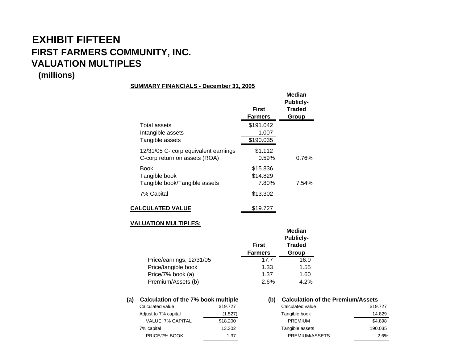# **EXHIBIT FIFTEENFIRST FARMERS COMMUNITY, INC. VALUATION MULTIPLES**

### **(millions)**

### **SUMMARY FINANCIALS - December 31, 2005**

|                                                                       | First<br><b>Farmers</b>         | Median<br><b>Publicly-</b><br><b>Traded</b><br>Group |
|-----------------------------------------------------------------------|---------------------------------|------------------------------------------------------|
| Total assets<br>Intangible assets<br>Tangible assets                  | \$191.042<br>1.007<br>\$190.035 |                                                      |
| 12/31/05 C- corp equivalent earnings<br>C-corp return on assets (ROA) | \$1.112<br>0.59%                | 0.76%                                                |
| Book<br>Tangible book<br>Tangible book/Tangible assets                | \$15.836<br>\$14.829<br>7.80%   | 7.54%                                                |
| 7% Capital                                                            | \$13.302                        |                                                      |
| <b>CALCULATED VALUE</b>                                               | \$19.727                        |                                                      |

### **VALUATION MULTIPLES:**

|                          | <b>First</b>   | <b>Median</b><br><b>Publicly-</b><br><b>Traded</b> |
|--------------------------|----------------|----------------------------------------------------|
|                          | <b>Farmers</b> | Group                                              |
| Price/earnings, 12/31/05 | 17.7           | 16.0                                               |
| Price/tangible book      | 1.33           | 1.55                                               |
| Price/7% book (a)        | 1.37           | 1.60                                               |
| Premium/Assets (b)       | 2.6%           | 4.2%                                               |

| (a) | Calculation of the 7% book multiple |          |
|-----|-------------------------------------|----------|
|     | Calculated value                    | \$19,727 |
|     | Adjust to 7% capital                | (1.527)  |
|     | <b>VALUE, 7% CAPITAL</b>            | \$18,200 |
|     | 7% capital                          | 13.302   |
|     | PRICE/7% ROOK                       | 1 ว7     |

### **(b)** Calculation of the Premium/Assets

| \$19,727 | Calculated value | \$19,727 |
|----------|------------------|----------|
| (1.527)  | Tangible book    | 14.829   |
| \$18,200 | PREMIUM          | \$4,898  |
| 13.302   | Tangible assets  | 190.035  |
| 1.37     | PREMIUM/ASSETS   | 2.6%     |
|          |                  |          |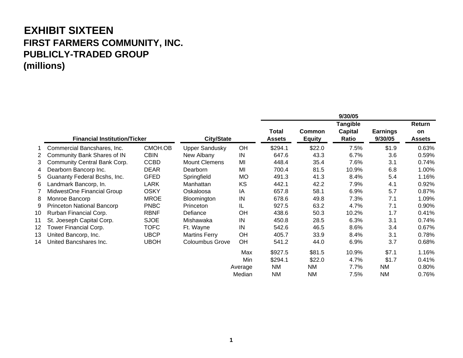## **EXHIBIT SIXTEEN FIRST FARMERS COMMUNITY, INC. PUBLICLY-TRADED GROUP (millions)**

|    |                                     |             |                        |           | 9/30/05                       |                                |                                     |                            |                               |
|----|-------------------------------------|-------------|------------------------|-----------|-------------------------------|--------------------------------|-------------------------------------|----------------------------|-------------------------------|
|    | <b>Financial Institution/Ticker</b> |             | <b>City/State</b>      |           | <b>Total</b><br><b>Assets</b> | <b>Common</b><br><b>Equity</b> | <b>Tangible</b><br>Capital<br>Ratio | <b>Earnings</b><br>9/30/05 | Return<br>on<br><b>Assets</b> |
|    | Commercial Bancshares, Inc.         | CMOH.OB     | <b>Upper Sandusky</b>  | OH        | \$294.1                       | \$22.0                         | 7.5%                                | \$1.9                      | 0.63%                         |
| 2  | Community Bank Shares of IN         | <b>CBIN</b> | New Albany             | IN        | 647.6                         | 43.3                           | 6.7%                                | 3.6                        | 0.59%                         |
| 3  | Community Central Bank Corp.        | <b>CCBD</b> | <b>Mount Clemens</b>   | MI        | 448.4                         | 35.4                           | 7.6%                                | 3.1                        | 0.74%                         |
| 4  | Dearborn Bancorp Inc.               | <b>DEAR</b> | Dearborn               | MI        | 700.4                         | 81.5                           | 10.9%                               | 6.8                        | 1.00%                         |
| 5. | Guananty Federal Bcshs, Inc.        | <b>GFED</b> | Springfield            | <b>MO</b> | 491.3                         | 41.3                           | 8.4%                                | 5.4                        | 1.16%                         |
| 6  | Landmark Bancorp, In.               | <b>LARK</b> | Manhattan              | KS        | 442.1                         | 42.2                           | 7.9%                                | 4.1                        | 0.92%                         |
|    | MidwestOne Financial Group          | <b>OSKY</b> | Oskaloosa              | IA        | 657.8                         | 58.1                           | 6.9%                                | 5.7                        | 0.87%                         |
| 8  | Monroe Bancorp                      | <b>MROE</b> | Bloomington            | IN        | 678.6                         | 49.8                           | 7.3%                                | 7.1                        | 1.09%                         |
| 9  | <b>Princeton National Bancorp</b>   | <b>PNBC</b> | Princeton              | IL        | 927.5                         | 63.2                           | 4.7%                                | 7.1                        | 0.90%                         |
| 10 | Rurban Financial Corp.              | <b>RBNF</b> | Defiance               | OH        | 438.6                         | 50.3                           | 10.2%                               | 1.7                        | 0.41%                         |
| 11 | St. Joeseph Capital Corp.           | <b>SJOE</b> | Mishawaka              | IN        | 450.8                         | 28.5                           | 6.3%                                | 3.1                        | 0.74%                         |
| 12 | Tower Financial Corp.               | <b>TOFC</b> | Ft. Wayne              | IN        | 542.6                         | 46.5                           | 8.6%                                | 3.4                        | 0.67%                         |
| 13 | United Bancorp, Inc.                | <b>UBCP</b> | <b>Martins Ferry</b>   | OH        | 405.7                         | 33.9                           | 8.4%                                | 3.1                        | 0.78%                         |
| 14 | United Bancshares Inc.              | <b>UBOH</b> | <b>Coloumbus Grove</b> | <b>OH</b> | 541.2                         | 44.0                           | 6.9%                                | 3.7                        | 0.68%                         |
|    |                                     |             |                        | Max       | \$927.5                       | \$81.5                         | 10.9%                               | \$7.1                      | 1.16%                         |
|    |                                     |             |                        | Min       | \$294.1                       | \$22.0                         | 4.7%                                | \$1.7                      | 0.41%                         |
|    |                                     |             |                        | Average   | <b>NM</b>                     | ΝM                             | 7.7%                                | ΝM                         | 0.80%                         |
|    |                                     |             |                        | Median    | ΝM                            | ΝM                             | 7.5%                                | <b>NM</b>                  | 0.76%                         |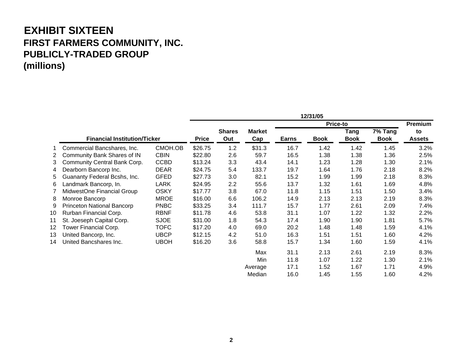## **EXHIBIT SIXTEEN FIRST FARMERS COMMUNITY, INC. PUBLICLY-TRADED GROUP (millions)**

|    |                                     |             | 12/31/05     |                      |                      |              |             |                     |                        |                     |
|----|-------------------------------------|-------------|--------------|----------------------|----------------------|--------------|-------------|---------------------|------------------------|---------------------|
|    |                                     |             | Price-to     |                      |                      |              |             |                     | Premium                |                     |
|    | <b>Financial Institution/Ticker</b> |             | <b>Price</b> | <b>Shares</b><br>Out | <b>Market</b><br>Cap | <b>Earns</b> | <b>Book</b> | Tang<br><b>Book</b> | 7% Tang<br><b>Book</b> | to<br><b>Assets</b> |
|    | Commercial Bancshares, Inc.         | CMOH.OB     | \$26.75      | 1.2                  | \$31.3               | 16.7         | 1.42        | 1.42                | 1.45                   | 3.2%                |
| 2  | Community Bank Shares of IN         | <b>CBIN</b> | \$22.80      | 2.6                  | 59.7                 | 16.5         | 1.38        | 1.38                | 1.36                   | 2.5%                |
| 3  | Community Central Bank Corp.        | <b>CCBD</b> | \$13.24      | 3.3                  | 43.4                 | 14.1         | 1.23        | 1.28                | 1.30                   | 2.1%                |
| 4  | Dearborn Bancorp Inc.               | <b>DEAR</b> | \$24.75      | 5.4                  | 133.7                | 19.7         | 1.64        | 1.76                | 2.18                   | 8.2%                |
| 5  | Guananty Federal Bcshs, Inc.        | <b>GFED</b> | \$27.73      | 3.0                  | 82.1                 | 15.2         | 1.99        | 1.99                | 2.18                   | 8.3%                |
| 6  | Landmark Bancorp, In.               | <b>LARK</b> | \$24.95      | 2.2                  | 55.6                 | 13.7         | 1.32        | 1.61                | 1.69                   | 4.8%                |
|    | MidwestOne Financial Group          | <b>OSKY</b> | \$17.77      | 3.8                  | 67.0                 | 11.8         | 1.15        | 1.51                | 1.50                   | 3.4%                |
| 8  | Monroe Bancorp                      | <b>MROE</b> | \$16.00      | 6.6                  | 106.2                | 14.9         | 2.13        | 2.13                | 2.19                   | 8.3%                |
| 9  | Princeton National Bancorp          | <b>PNBC</b> | \$33.25      | 3.4                  | 111.7                | 15.7         | 1.77        | 2.61                | 2.09                   | 7.4%                |
| 10 | Rurban Financial Corp.              | <b>RBNF</b> | \$11.78      | 4.6                  | 53.8                 | 31.1         | 1.07        | 1.22                | 1.32                   | 2.2%                |
| 11 | St. Joeseph Capital Corp.           | <b>SJOE</b> | \$31.00      | 1.8                  | 54.3                 | 17.4         | 1.90        | 1.90                | 1.81                   | 5.7%                |
| 12 | Tower Financial Corp.               | <b>TOFC</b> | \$17.20      | 4.0                  | 69.0                 | 20.2         | 1.48        | 1.48                | 1.59                   | 4.1%                |
| 13 | United Bancorp, Inc.                | <b>UBCP</b> | \$12.15      | 4.2                  | 51.0                 | 16.3         | 1.51        | 1.51                | 1.60                   | 4.2%                |
| 14 | United Bancshares Inc.              | <b>UBOH</b> | \$16.20      | 3.6                  | 58.8                 | 15.7         | 1.34        | 1.60                | 1.59                   | 4.1%                |
|    |                                     |             |              |                      | Max                  | 31.1         | 2.13        | 2.61                | 2.19                   | 8.3%                |
|    |                                     |             |              |                      | Min                  | 11.8         | 1.07        | 1.22                | 1.30                   | 2.1%                |
|    |                                     |             |              |                      | Average              | 17.1         | 1.52        | 1.67                | 1.71                   | 4.9%                |
|    |                                     |             |              |                      | Median               | 16.0         | 1.45        | 1.55                | 1.60                   | 4.2%                |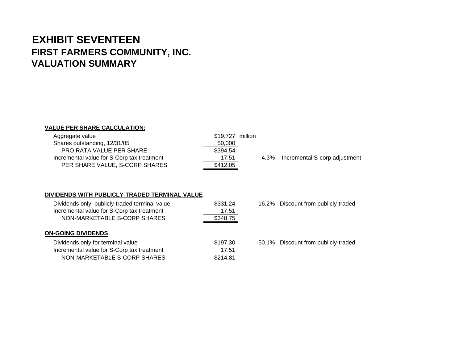## **EXHIBIT SEVENTEENFIRST FARMERS COMMUNITY, INC. VALUATION SUMMARY**

### **VALUE PER SHARE CALCULATION:**

| Aggregate value                            | \$19,727 million |      |                               |
|--------------------------------------------|------------------|------|-------------------------------|
| Shares outstanding, 12/31/05               | 50,000           |      |                               |
| <b>PRO RATA VALUE PER SHARE</b>            | \$394.54         |      |                               |
| Incremental value for S-Corp tax treatment | 17.51            | 4.3% | Incremental S-corp adjustment |
| PER SHARE VALUE, S-CORP SHARES             | \$412.05         |      |                               |

### **DIVIDENDS WITH PUBLICLY-TRADED TERMINAL VALUE**

| Dividends only, publicly-traded terminal value<br>Incremental value for S-Corp tax treatment<br>NON-MARKETABLE S-CORP SHARES | \$331.24<br>17.51<br>\$348.75 | -16.2% Discount from publicly-traded |
|------------------------------------------------------------------------------------------------------------------------------|-------------------------------|--------------------------------------|
| <b>ON-GOING DIVIDENDS</b>                                                                                                    |                               |                                      |
| Dividends only for terminal value                                                                                            | \$197.30                      | -50.1% Discount from publicly-traded |
| Incremental value for S-Corp tax treatment                                                                                   | 17.51                         |                                      |
| NON-MARKETABLE S-CORP SHARES                                                                                                 | \$214.81                      |                                      |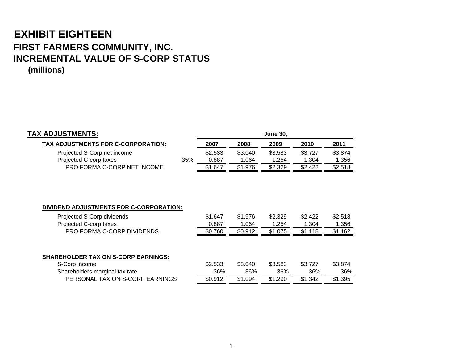# **EXHIBIT EIGHTEEN FIRST FARMERS COMMUNITY, INC. INCREMENTAL VALUE OF S-CORP STATUS**

**(millions)**

| <b>TAX ADJUSTMENTS:</b>                                                                                                       |     |                             |                             | <b>June 30,</b>             |                             |                             |
|-------------------------------------------------------------------------------------------------------------------------------|-----|-----------------------------|-----------------------------|-----------------------------|-----------------------------|-----------------------------|
| TAX ADJUSTMENTS FOR C-CORPORATION:                                                                                            |     | 2007                        | 2008                        | 2009                        | 2010                        | 2011                        |
| Projected S-Corp net income                                                                                                   |     | \$2.533                     | \$3.040                     | \$3.583                     | \$3.727                     | \$3.874                     |
| Projected C-corp taxes                                                                                                        | 35% | 0.887                       | 1.064                       | 1.254                       | 1.304                       | 1.356                       |
| PRO FORMA C-CORP NET INCOME                                                                                                   |     | \$1.647                     | \$1.976                     | \$2.329                     | \$2.422                     | \$2.518                     |
| DIVIDEND ADJUSTMENTS FOR C-CORPORATION:<br>Projected S-Corp dividends<br>Projected C-corp taxes<br>PRO FORMA C-CORP DIVIDENDS |     | \$1.647<br>0.887<br>\$0.760 | \$1.976<br>1.064<br>\$0.912 | \$2.329<br>1.254<br>\$1.075 | \$2.422<br>1.304<br>\$1.118 | \$2.518<br>1.356<br>\$1.162 |
| <b>SHAREHOLDER TAX ON S-CORP EARNINGS:</b>                                                                                    |     |                             |                             |                             |                             |                             |
| S-Corp income                                                                                                                 |     | \$2.533                     | \$3.040                     | \$3.583                     | \$3.727                     | \$3.874                     |
| Shareholders marginal tax rate                                                                                                |     | 36%                         | 36%                         | 36%                         | 36%                         | 36%                         |
| PERSONAL TAX ON S-CORP EARNINGS                                                                                               |     | \$0.912                     | \$1.094                     | \$1.290                     | \$1.342                     | \$1.395                     |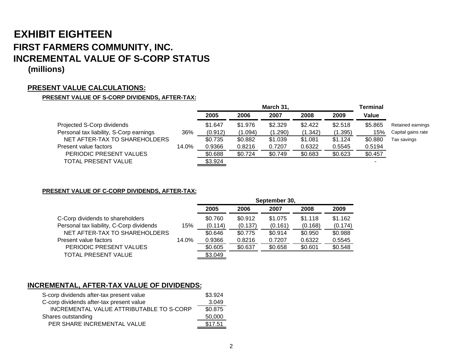# **EXHIBIT EIGHTEENFIRST FARMERS COMMUNITY, INC. INCREMENTAL VALUE OF S-CORP STATUS**

### **(millions)**

### **PRESENT VALUE CALCULATIONS:**

### **PRESENT VALUE OF S-CORP DIVIDENDS, AFTER-TAX:**

|                                         |       | March 31, |         |         |         | <b>Terminal</b> |         |                    |
|-----------------------------------------|-------|-----------|---------|---------|---------|-----------------|---------|--------------------|
|                                         |       | 2005      | 2006    | 2007    | 2008    | 2009            | Value   |                    |
| Projected S-Corp dividends              |       | \$1.647   | \$1.976 | \$2.329 | \$2.422 | \$2.518         | \$5,865 | Retained earnings  |
| Personal tax liability, S-Corp earnings | 36%   | (0.912)   | (1.094) | (1.290) | (1.342) | (1.395)         | 15%     | Capital gains rate |
| NET AFTER-TAX TO SHAREHOLDERS           |       | \$0.735   | \$0.882 | \$1.039 | \$1.081 | \$1.124         | \$0.880 | Tax savings        |
| Present value factors                   | 14.0% | 0.9366    | 0.8216  | 0.7207  | 0.6322  | 0.5545          | 0.5194  |                    |
| PERIODIC PRESENT VALUES                 |       | \$0.688   | \$0.724 | \$0.749 | \$0.683 | \$0.623         | \$0.457 |                    |
| <b>TOTAL PRESENT VALUE</b>              |       | \$3.924   |         |         |         |                 |         |                    |
|                                         |       |           |         |         |         |                 |         |                    |

**PRESENT VALUE OF C-CORP DIVIDENDS, AFTER-TAX:**

|                                          |       | September 30, |         |         |         |         |  |  |
|------------------------------------------|-------|---------------|---------|---------|---------|---------|--|--|
|                                          |       | 2005          | 2006    | 2007    | 2008    | 2009    |  |  |
| C-Corp dividends to shareholders         |       | \$0.760       | \$0.912 | \$1.075 | \$1.118 | \$1.162 |  |  |
| Personal tax liability, C-Corp dividends | 15%   | (0.114)       | (0.137) | (0.161) | (0.168) | (0.174) |  |  |
| NET AFTER-TAX TO SHAREHOLDERS            |       | \$0.646       | \$0.775 | \$0.914 | \$0.950 | \$0.988 |  |  |
| Present value factors                    | 14.0% | 0.9366        | 0.8216  | 0.7207  | 0.6322  | 0.5545  |  |  |
| PERIODIC PRESENT VALUES                  |       | \$0.605       | \$0.637 | \$0.658 | \$0.601 | \$0.548 |  |  |
| TOTAL PRESENT VALUE                      |       | \$3.049       |         |         |         |         |  |  |

### **INCREMENTAL, AFTER-TAX VALUE OF DIVIDENDS:**

| S-corp dividends after-tax present value | \$3.924 |
|------------------------------------------|---------|
| C-corp dividends after-tax present value | 3.049   |
| INCREMENTAL VALUE ATTRIBUTABLE TO S-CORP | \$0.875 |
| Shares outstanding                       | 50,000  |
| PER SHARE INCREMENTAL VALUE              | \$17.51 |